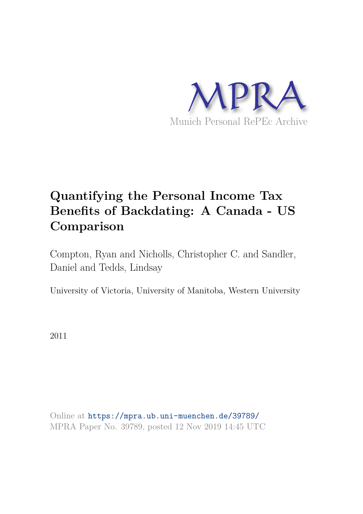

# **Quantifying the Personal Income Tax Benefits of Backdating: A Canada - US Comparison**

Compton, Ryan and Nicholls, Christopher C. and Sandler, Daniel and Tedds, Lindsay

University of Victoria, University of Manitoba, Western University

2011

Online at https://mpra.ub.uni-muenchen.de/39789/ MPRA Paper No. 39789, posted 12 Nov 2019 14:45 UTC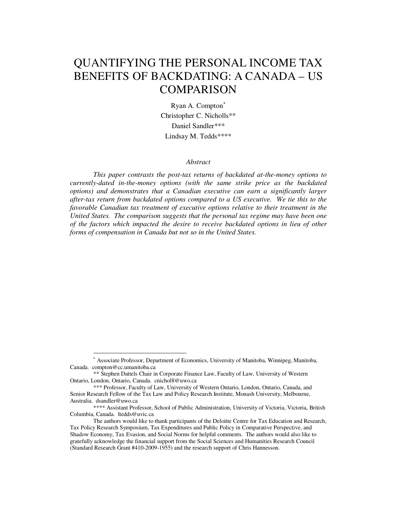# QUANTIFYING THE PERSONAL INCOME TAX BENEFITS OF BACKDATING: A CANADA – US COMPARISON

Ryan A. Compton[∗](#page-1-0) Christopher C. Nicholls\*\* Daniel Sandler\*\*\* Lindsay M. Tedds\*\*\*\*

#### *Abstract*

*This paper contrasts the post-tax returns of backdated at-the-money options to currently-dated in-the-money options (with the same strike price as the backdated options) and demonstrates that a Canadian executive can earn a significantly larger after-tax return from backdated options compared to a US executive. We tie this to the favorable Canadian tax treatment of executive options relative to their treatment in the United States. The comparison suggests that the personal tax regime may have been one of the factors which impacted the desire to receive backdated options in lieu of other forms of compensation in Canada but not so in the United States.*

<span id="page-1-0"></span><sup>∗</sup> Associate Professor, Department of Economics, University of Manitoba, Winnipeg, Manitoba, Canada. compton@cc.umanitoba.ca

<sup>\*\*</sup> Stephen Dattels Chair in Corporate Finance Law, Faculty of Law, University of Western Ontario, London, Ontario, Canada. cnichol8@uwo.ca

<sup>\*\*\*</sup> Professor, Faculty of Law, University of Western Ontario, London, Ontario, Canada, and Senior Research Fellow of the Tax Law and Policy Research Institute, Monash University, Melbourne, Australia. dsandler@uwo.ca

<sup>\*\*\*\*</sup> Assistant Professor, School of Public Administration, University of Victoria, Victoria, British Columbia, Canada. ltedds@uvic.ca

The authors would like to thank participants of the Deloitte Centre for Tax Education and Research, Tax Policy Research Symposium, Tax Expenditures and Public Policy in Comparative Perspective, and Shadow Economy, Tax Evasion, and Social Norms for helpful comments. The authors would also like to gratefully acknowledge the financial support from the Social Sciences and Humanities Research Council (Standard Research Grant #410-2009-1955) and the research support of Chris Hannesson.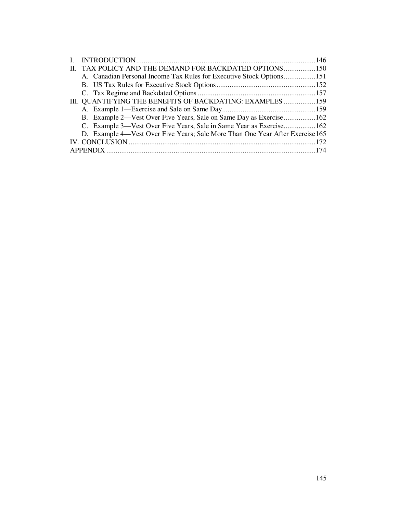| II. TAX POLICY AND THE DEMAND FOR BACKDATED OPTIONS150                        |  |
|-------------------------------------------------------------------------------|--|
| A. Canadian Personal Income Tax Rules for Executive Stock Options151          |  |
|                                                                               |  |
|                                                                               |  |
| III. QUANTIFYING THE BENEFITS OF BACKDATING: EXAMPLES 159                     |  |
|                                                                               |  |
| B. Example 2—Vest Over Five Years, Sale on Same Day as Exercise162            |  |
| C. Example 3—Vest Over Five Years, Sale in Same Year as Exercise162           |  |
| D. Example 4—Vest Over Five Years; Sale More Than One Year After Exercise 165 |  |
|                                                                               |  |
|                                                                               |  |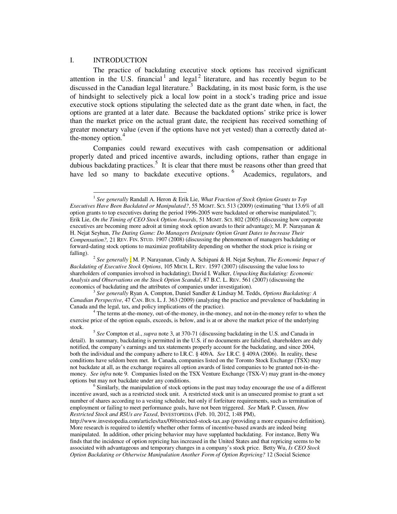#### I. INTRODUCTION

<u>.</u>

The practice of backdating executive stock options has received significant attention in the U.S. financial  $1$  and legal  $2$  literature, and has recently begun to be discussed in the Canadian legal literature.<sup>[3](#page-3-2)</sup> Backdating, in its most basic form, is the use of hindsight to selectively pick a local low point in a stock's trading price and issue executive stock options stipulating the selected date as the grant date when, in fact, the options are granted at a later date. Because the backdated options' strike price is lower than the market price on the actual grant date, the recipient has received something of greater monetary value (even if the options have not yet vested) than a correctly dated atthe-money option. $4$ 

Companies could reward executives with cash compensation or additional properly dated and priced incentive awards, including options, rather than engage in dubious backdating practices.<sup>[5](#page-3-4)</sup> It is clear that there must be reasons other than greed that have led so many to backdate executive options. <sup>[6](#page-3-5)</sup> Academics, regulators, and

<span id="page-3-0"></span><sup>&</sup>lt;sup>1</sup> See generally Randall A. Heron & Erik Lie, *What Fraction of Stock Option Grants to Top Executives Have Been Backdated or Manipulated?*, 55 MGMT. SCI. 513 (2009) (estimating "that 13.6% of all option grants to top executives during the period 1996-2005 were backdated or otherwise manipulated."); Erik Lie, *On the Timing of CEO Stock Option Awards*, 51 MGMT. SCI. 802 (2005) (discussing how corporate executives are becoming more adroit at timing stock option awards to their advantage); M. P. Narayanan & H. Nejat Seyhun, *The Dating Game: Do Managers Designate Option Grant Dates to Increase Their Compensation?,* 21 REV. FIN. STUD. 1907 (2008) (discussing the phenomenon of managers backdating or forward-dating stock options to maximize profitability depending on whether the stock price is rising or falling).

<span id="page-3-1"></span><sup>2</sup> *See generally* ; M. P. Narayanan, Cindy A. Schipani & H. Nejat Seyhun, *The Economic Impact of Backdating of Executive Stock Options*, 105 MICH. L. REV. 1597 (2007) (discussing the value loss to shareholders of companies involved in backdating); David I. Walker, *Unpacking Backdating: Economic Analysis and Observations on the Stock Option Scandal*, 87 B.C. L. REV. 561 (2007) (discussing the economics of backdating and the attributes of companies under investigation).

<span id="page-3-2"></span><sup>3</sup> *See generally* Ryan A. Compton, Daniel Sandler & Lindsay M. Tedds, *Options Backdating: A Canadian Perspective*, 47 CAN. BUS. L. J. 363 (2009) (analyzing the practice and prevalence of backdating in Canada and the legal, tax, and policy implications of the practice).

<span id="page-3-3"></span><sup>4</sup> The terms at-the-money, out-of-the-money, in-the-money, and not-in-the-money refer to when the exercise price of the option equals, exceeds, is below, and is at or above the market price of the underlying stock.

<span id="page-3-4"></span><sup>5</sup> *See* Compton et al., *supra* note 3, at 370-71 (discussing backdating in the U.S. and Canada in detail). In summary, backdating is permitted in the U.S. if no documents are falsified, shareholders are duly notified, the company's earnings and tax statements properly account for the backdating, and since 2004, both the individual and the company adhere to I.R.C. § 409A. *See* I.R.C. § 409A (2006). In reality, these conditions have seldom been met. In Canada, companies listed on the Toronto Stock Exchange (TSX) may not backdate at all, as the exchange requires all option awards of listed companies to be granted not-in-themoney. *See infra* note 9. Companies listed on the TSX Venture Exchange (TSX-V) may grant in-the-money options but may not backdate under any conditions.

<span id="page-3-5"></span> $6$  Similarly, the manipulation of stock options in the past may today encourage the use of a different incentive award, such as a restricted stock unit. A restricted stock unit is an unsecured promise to grant a set number of shares according to a vesting schedule, but only if forfeiture requirements, such as termination of employment or failing to meet performance goals, have not been triggered. *See* Mark P. Cussen, *How Restricted Stock and RSUs are Taxed*, INVESTOPEDIA (Feb. 10, 2012, 1:48 PM),

http://www.investopedia.com/articles/tax/09/restricted-stock-tax.asp (providing a more expansive definition). More research is required to identify whether other forms of incentive-based awards are indeed being manipulated. In addition, other pricing behavior may have supplanted backdating. For instance, Betty Wu finds that the incidence of option repricing has increased in the United States and that repricing seems to be associated with advantageous and temporary changes in a company's stock price. Betty Wu, *Is CEO Stock Option Backdating or Otherwise Manipulation Another Form of Option Repricing?* 12 (Social Science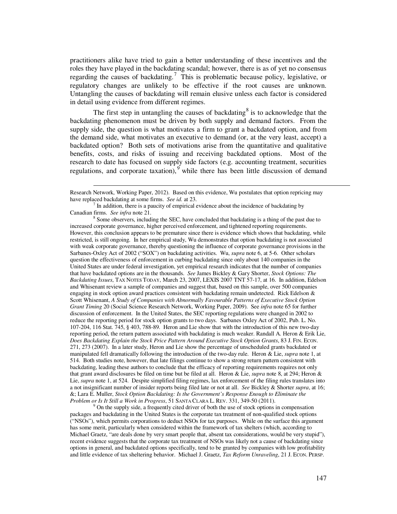practitioners alike have tried to gain a better understanding of these incentives and the roles they have played in the backdating scandal; however, there is as of yet no consensus regarding the causes of backdating.<sup>[7](#page-4-0)</sup> This is problematic because policy, legislative, or regulatory changes are unlikely to be effective if the root causes are unknown. Untangling the causes of backdating will remain elusive unless each factor is considered in detail using evidence from different regimes.

The first step in untangling the causes of backdating  $\delta$  is to acknowledge that the backdating phenomenon must be driven by both supply and demand factors. From the supply side, the question is what motivates a firm to grant a backdated option, and from the demand side, what motivates an executive to demand (or, at the very least, accept) a backdated option? Both sets of motivations arise from the quantitative and qualitative benefits, costs, and risks of issuing and receiving backdated options. Most of the research to date has focused on supply side factors (e.g. accounting treatment, securities regulations, and corporate taxation), while there has been little discussion of demand

 $\overline{a}$ 

<span id="page-4-2"></span> $9$  On the supply side, a frequently cited driver of both the use of stock options in compensation packages and backdating in the United States is the corporate tax treatment of non-qualified stock options ("NSOs"), which permits corporations to deduct NSOs for tax purposes. While on the surface this argument has some merit, particularly when considered within the framework of tax shelters (which, according to Michael Graetz, "are deals done by very smart people that, absent tax considerations, would be very stupid"), recent evidence suggests that the corporate tax treatment of NSOs was likely not a cause of backdating since options in general, and backdated options specifically, tend to be granted by companies with low profitability and little evidence of tax sheltering behavior. Michael J. Graetz, *Tax Reform Unraveling*, 21 J. ECON. PERSP.

Research Network, Working Paper, 2012). Based on this evidence, Wu postulates that option repricing may have replaced backdating at some firms. *See id.* at 23.

<span id="page-4-0"></span><sup>7</sup> In addition, there is a paucity of empirical evidence about the incidence of backdating by Canadian firms. *See infra* note 21.

<span id="page-4-1"></span><sup>&</sup>lt;sup>8</sup> Some observers, including the SEC, have concluded that backdating is a thing of the past due to increased corporate governance, higher perceived enforcement, and tightened reporting requirements. However, this conclusion appears to be premature since there is evidence which shows that backdating, while restricted, is still ongoing. In her empirical study, Wu demonstrates that option backdating is not associated with weak corporate governance, thereby questioning the influence of corporate governance provisions in the Sarbanes-Oxley Act of 2002 ("SOX") on backdating activities. Wu, *supra* note 6, at 5-6. Other scholars question the effectiveness of enforcement in curbing backdating since only about 140 companies in the United States are under federal investigation, yet empirical research indicates that the number of companies that have backdated options are in the thousands. *See* James Bickley & Gary Shorter, *Stock Options: The Backdating Issues*, TAX NOTES TODAY, March 23, 2007, LEXIS 2007 TNT 57-17, at 16. In addition, Edelson and Whisenant review a sample of companies and suggest that, based on this sample, over 500 companies engaging in stock option award practices consistent with backdating remain undetected. Rick Edelson & Scott Whisenant, *A Study of Companies with Abnormally Favourable Patterns of Executive Stock Option Grant Timing* 20 (Social Science Research Network, Working Paper, 2009). See *infra* note 65 for further discussion of enforcement. In the United States, the SEC reporting regulations were changed in 2002 to reduce the reporting period for stock option grants to two days. Sarbanes Oxley Act of 2002, Pub. L. No. 107-204, 116 Stat. 745, § 403, 788-89. Heron and Lie show that with the introduction of this new two-day reporting period, the return pattern associated with backdating is much weaker. Randall A. Heron & Erik Lie, *Does Backdating Explain the Stock Price Pattern Around Executive Stock Option Grants*, 83 J. FIN. ECON. 271, 273 (2007). In a later study, Heron and Lie show the percentage of unscheduled grants backdated or manipulated fell dramatically following the introduction of the two-day rule. Heron & Lie, *supra* note 1, at 514. Both studies note, however, that late filings continue to show a strong return pattern consistent with backdating, leading these authors to conclude that the efficacy of reporting requirements requires not only that grant award disclosures be filed on time but be filed at all. Heron & Lie, *supra* note 8, at 294; Heron & Lie, *supra* note 1, at 524. Despite simplified filing regimes, lax enforcement of the filing rules translates into a not insignificant number of insider reports being filed late or not at all. *See* Bickley & Shorter *supra*, at 16; &; Lara E. Muller, *Stock Option Backdating: Is the Government's Response Enough to Eliminate the Problem or Is It Still a Work in Progress*, 51 SANTA CLARA L. REV. 331, 349-50 (2011).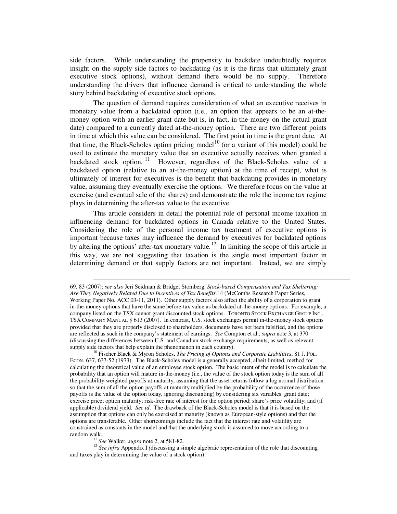side factors. While understanding the propensity to backdate undoubtedly requires insight on the supply side factors to backdating (as it is the firms that ultimately grant executive stock options), without demand there would be no supply. Therefore understanding the drivers that influence demand is critical to understanding the whole story behind backdating of executive stock options.

The question of demand requires consideration of what an executive receives in monetary value from a backdated option (i.e., an option that appears to be an at-themoney option with an earlier grant date but is, in fact, in-the-money on the actual grant date) compared to a currently dated at-the-money option. There are two different points in time at which this value can be considered. The first point in time is the grant date. At that time, the Black-Scholes option pricing model<sup>[10](#page-5-0)</sup> (or a variant of this model) could be used to estimate the monetary value that an executive actually receives when granted a backdated stock option.  $11$  However, regardless of the Black-Scholes value of a backdated option (relative to an at-the-money option) at the time of receipt, what is ultimately of interest for executives is the benefit that backdating provides in monetary value, assuming they eventually exercise the options. We therefore focus on the value at exercise (and eventual sale of the shares) and demonstrate the role the income tax regime plays in determining the after-tax value to the executive.

This article considers in detail the potential role of personal income taxation in influencing demand for backdated options in Canada relative to the United States. Considering the role of the personal income tax treatment of executive options is important because taxes may influence the demand by executives for backdated options by altering the options' after-tax monetary value.<sup>[12](#page-5-2)</sup> In limiting the scope of this article in this way, we are not suggesting that taxation is the single most important factor in determining demand or that supply factors are not important. Instead, we are simply

<sup>11</sup> *See* Walker, *supra* note 2, at 581-82.

-

<span id="page-5-2"></span><span id="page-5-1"></span><sup>12</sup> See infra Appendix I (discussing a simple algebraic representation of the role that discounting and taxes play in determining the value of a stock option).

<sup>69, 83 (2007);</sup> *see also* Jeri Seidman & Bridget Stomberg, *Stock-based Compensation and Tax Sheltering: Are They Negatively Related Due to Incentives of Tax Benefits?* 4 (McCombs Research Paper Series, Working Paper No. ACC 03-11, 2011). Other supply factors also affect the ability of a corporation to grant in-the-money options that have the same before-tax value as backdated at-the-money options. For example, a company listed on the TSX cannot grant discounted stock options. TORONTO STOCK EXCHANGE GROUP INC., TSX COMPANY MANUAL § 613 (2007). In contrast, U.S. stock exchanges permit in-the-money stock options provided that they are properly disclosed to shareholders, documents have not been falsified, and the options are reflected as such in the company's statement of earnings. *See* Compton et al., *supra* note 3, at 370 (discussing the differences between U.S. and Canadian stock exchange requirements, as well as relevant supply side factors that help explain the phenomenon in each country).

<span id="page-5-0"></span><sup>10</sup> Fischer Black & Myron Scholes, *The Pricing of Options and Corporate Liabilities*, 81 J. POL. ECON. 637, 637-52 (1973). The Black-Scholes model is a generally accepted, albeit limited, method for calculating the theoretical value of an employee stock option. The basic intent of the model is to calculate the probability that an option will mature in-the-money (i.e., the value of the stock option today is the sum of all the probability-weighted payoffs at maturity, assuming that the asset returns follow a log normal distribution so that the sum of all the option payoffs at maturity multiplied by the probability of the occurrence of those payoffs is the value of the option today, ignoring discounting) by considering six variables: grant date; exercise price; option maturity; risk-free rate of interest for the option period; share's price volatility; and (if applicable) dividend yield. *See id*. The drawback of the Black-Scholes model is that it is based on the assumption that options can only be exercised at maturity (known as European-style options) and that the options are transferable. Other shortcomings include the fact that the interest rate and volatility are constrained as constants in the model and that the underlying stock is assumed to move according to a random walk.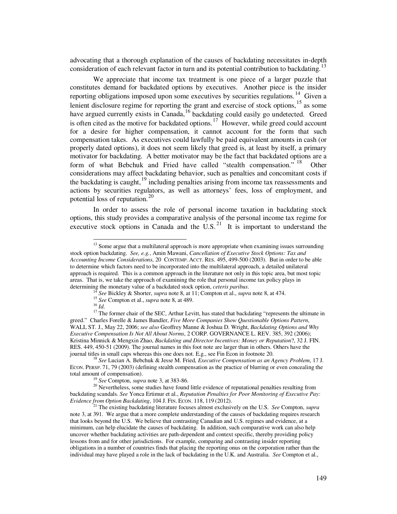advocating that a thorough explanation of the causes of backdating necessitates in-depth consideration of each relevant factor in turn and its potential contribution to backdating.<sup>[13](#page-6-0)</sup>

We appreciate that income tax treatment is one piece of a larger puzzle that constitutes demand for backdated options by executives. Another piece is the insider reporting obligations imposed upon some executives by securities regulations.<sup>[14](#page-6-1)</sup> Given a lenient disclosure regime for reporting the grant and exercise of stock options,<sup>[15](#page-6-2)</sup> as some have argued currently exists in Canada,<sup>[16](#page-6-3)</sup> backdating could easily go undetected. Greed is often cited as the motive for backdated options.<sup>[17](#page-6-4)</sup> However, while greed could account for a desire for higher compensation, it cannot account for the form that such compensation takes. As executives could lawfully be paid equivalent amounts in cash (or properly dated options), it does not seem likely that greed is, at least by itself, a primary motivator for backdating. A better motivator may be the fact that backdated options are a form of what Bebchuk and Fried have called "stealth compensation." <sup>[18](#page-6-5)</sup> **Other** considerations may affect backdating behavior, such as penalties and concomitant costs if the backdating is caught,  $19$  including penalties arising from income tax reassessments and actions by securities regulators, as well as attorneys' fees, loss of employment, and potential loss of reputation.<sup>[20](#page-6-7)</sup>

In order to assess the role of personal income taxation in backdating stock options, this study provides a comparative analysis of the personal income tax regime for executive stock options in Canada and the U.S. $^{21}$  $^{21}$  $^{21}$  It is important to understand the

<span id="page-6-0"></span><sup>&</sup>lt;sup>13</sup> Some argue that a multilateral approach is more appropriate when examining issues surrounding stock option backdating. *See, e.g.*, Amin Mawani, *Cancellation of Executive Stock Options: Tax and Accounting Income Considerations*, 20 CONTEMP. ACCT. RES. 495, 499-500 (2003). But in order to be able to determine which factors need to be incorporated into the multilateral approach, a detailed unilateral approach is required. This is a common approach in the literature not only in this topic area, but most topic areas. That is, we take the approach of examining the role that personal income tax policy plays in determining the monetary value of a backdated stock option, *ceteris paribus*.

<sup>14</sup> *See* Bickley & Shorter, *supra* note 8, at 11; Compton et al., *supra* note 8, at 474.

<sup>15</sup> *See* Compton et al., *supra* note 8, at 489.

<sup>16</sup> *Id*.

<span id="page-6-4"></span><span id="page-6-3"></span><span id="page-6-2"></span><span id="page-6-1"></span><sup>&</sup>lt;sup>17</sup> The former chair of the SEC, Arthur Levitt, has stated that backdating "represents the ultimate in greed." Charles Forelle & James Bandler, *Five More Companies Show Questionable Options Pattern*, WALL ST. J., May 22, 2006; *see also* Geoffrey Manne & Joshua D. Wright, *Backdating Options and Why Executive Compensation Is Not All About Norms*, 2 CORP. GOVERNANCE L. REV. 385, 392 (2006); Kristina Minnick & Mengxin Zhao, *Backdating and Director Incentives: Money or Reputation*?, 32 J. FIN. RES. 449, 450-51 (2009). The journal names in this foot note are larger than in others. Others have the journal titles in small caps whereas this one does not. E.g., see Fin Econ in footnote 20.

<span id="page-6-5"></span><sup>18</sup> *See* Lucian A. Bebchuk & Jesse M. Fried, *Executive Compensation as an Agency Problem*, 17 J. ECON. PERSP. 71, 79 (2003) (defining stealth compensation as the practice of blurring or even concealing the total amount of compensation).

<sup>19</sup> *See* Compton, *supra* note 3, at 383-86.

<span id="page-6-7"></span><span id="page-6-6"></span><sup>&</sup>lt;sup>20</sup> Nevertheless, some studies have found little evidence of reputational penalties resulting from backdating scandals. *See* Yonca Ertimur et al., *Reputation Penalties for Poor Monitoring of Executive Pay: Evidence from Option Backdating*, 104 J. FIN. ECON. 118, 119 (2012).

<span id="page-6-8"></span><sup>21</sup> The existing backdating literature focuses almost exclusively on the U.S. *See* Compton, *supra* note 3, at 391. We argue that a more complete understanding of the causes of backdating requires research that looks beyond the U.S. We believe that contrasting Canadian and U.S. regimes and evidence, at a minimum, can help elucidate the causes of backdating. In addition, such comparative work can also help uncover whether backdating activities are path-dependent and context specific, thereby providing policy lessons from and for other jurisdictions. For example, comparing and contrasting insider reporting obligations in a number of countries finds that placing the reporting onus on the corporation rather than the individual may have played a role in the lack of backdating in the U.K. and Australia. *See* Compton et al.,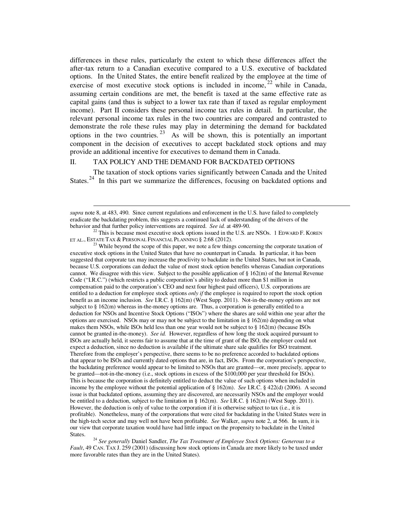differences in these rules, particularly the extent to which these differences affect the after-tax return to a Canadian executive compared to a U.S. executive of backdated options. In the United States, the entire benefit realized by the employee at the time of exercise of most executive stock options is included in income,  $2^2$  while in Canada, assuming certain conditions are met, the benefit is taxed at the same effective rate as capital gains (and thus is subject to a lower tax rate than if taxed as regular employment income). Part II considers these personal income tax rules in detail. In particular, the relevant personal income tax rules in the two countries are compared and contrasted to demonstrate the role these rules may play in determining the demand for backdated options in the two countries.  $2^3$  As will be shown, this is potentially an important component in the decision of executives to accept backdated stock options and may provide an additional incentive for executives to demand them in Canada.

# II. TAX POLICY AND THE DEMAND FOR BACKDATED OPTIONS

 $\overline{a}$ 

The taxation of stock options varies significantly between Canada and the United States.<sup>[24](#page-7-2)</sup> In this part we summarize the differences, focusing on backdated options and

<span id="page-7-1"></span><sup>23</sup> While beyond the scope of this paper, we note a few things concerning the corporate taxation of executive stock options in the United States that have no counterpart in Canada. In particular, it has been suggested that corporate tax may increase the proclivity to backdate in the United States, but not in Canada, because U.S. corporations can deduct the value of most stock option benefits whereas Canadian corporations cannot. We disagree with this view. Subject to the possible application of  $\S 162(m)$  of the Internal Revenue Code ("I.R.C.") (which restricts a public corporation's ability to deduct more than \$1 million in compensation paid to the corporation's CEO and next four highest paid officers), U.S. corporations are entitled to a deduction for employee stock options *only if* the employee is required to report the stock option benefit as an income inclusion. *See* I.R.C. § 162(m) (West Supp. 2011). Not-in-the-money options are not subject to § 162(m) whereas in-the-money options are. Thus, a corporation is generally entitled to a deduction for NSOs and Incentive Stock Options ("ISOs") where the shares are sold within one year after the options are exercised. NSOs may or may not be subject to the limitation in  $\S$  162(m) depending on what makes them NSOs, while ISOs held less than one year would not be subject to § 162(m) (because ISOs cannot be granted in-the-money). *See id.* However, regardless of how long the stock acquired pursuant to ISOs are actually held, it seems fair to assume that at the time of grant of the ISO, the employer could not expect a deduction, since no deduction is available if the ultimate share sale qualifies for ISO treatment. Therefore from the employer's perspective, there seems to be no preference accorded to backdated options that appear to be ISOs and currently dated options that are, in fact, ISOs. From the corporation's perspective, the backdating preference would appear to be limited to NSOs that are granted—or, more precisely, appear to be granted—not-in-the-money (i.e., stock options in excess of the \$100,000 per year threshold for ISOs). This is because the corporation is definitely entitled to deduct the value of such options when included in income by the employee without the potential application of § 162(m). *See* I.R.C. § 422(d) (2006). A second issue is that backdated options, assuming they are discovered, are necessarily NSOs and the employer would be entitled to a deduction, subject to the limitation in § 162(m). *See* I.R.C. § 162(m) (West Supp. 2011). However, the deduction is only of value to the corporation if it is otherwise subject to tax (i.e., it is profitable). Nonetheless, many of the corporations that were cited for backdating in the United States were in the high-tech sector and may well not have been profitable. *See* Walker, *supra* note 2, at 566. In sum, it is our view that corporate taxation would have had little impact on the propensity to backdate in the United States.

<span id="page-7-2"></span><sup>24</sup> *See generally* Daniel Sandler, *The Tax Treatment of Employee Stock Options: Generous to a Fault*, 49 CAN. TAX J. 259 (2001) (discussing how stock options in Canada are more likely to be taxed under more favorable rates than they are in the United States).

*supra* note 8, at 483, 490. Since current regulations and enforcement in the U.S. have failed to completely eradicate the backdating problem, this suggests a continued lack of understanding of the drivers of the behavior and that further policy interventions are required. *See id.* at 489-90.

<span id="page-7-0"></span> $22$  This is because most executive stock options issued in the U.S. are NSOs. 1 EDWARD F. KOREN ET AL., ESTATE TAX & PERSONAL FINANCIAL PLANNING § 2:68 (2012).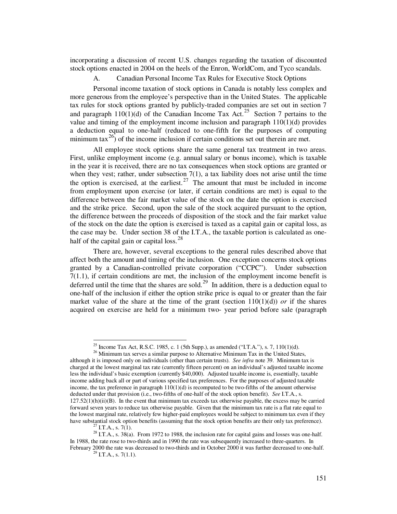incorporating a discussion of recent U.S. changes regarding the taxation of discounted stock options enacted in 2004 on the heels of the Enron, WorldCom, and Tyco scandals.

A. Canadian Personal Income Tax Rules for Executive Stock Options

Personal income taxation of stock options in Canada is notably less complex and more generous from the employee's perspective than in the United States. The applicable tax rules for stock options granted by publicly-traded companies are set out in section 7 and paragraph  $110(1)(d)$  of the Canadian Income Tax Act.<sup>[25](#page-8-0)</sup> Section 7 pertains to the value and timing of the employment income inclusion and paragraph 110(1)(d) provides a deduction equal to one-half (reduced to one-fifth for the purposes of computing minimum tax<sup>[26](#page-8-1)</sup>) of the income inclusion if certain conditions set out therein are met.

All employee stock options share the same general tax treatment in two areas. First, unlike employment income (e.g. annual salary or bonus income), which is taxable in the year it is received, there are no tax consequences when stock options are granted or when they vest; rather, under subsection  $7(1)$ , a tax liability does not arise until the time the option is exercised, at the earliest. $27$  The amount that must be included in income from employment upon exercise (or later, if certain conditions are met) is equal to the difference between the fair market value of the stock on the date the option is exercised and the strike price. Second, upon the sale of the stock acquired pursuant to the option, the difference between the proceeds of disposition of the stock and the fair market value of the stock on the date the option is exercised is taxed as a capital gain or capital loss, as the case may be. Under section 38 of the I.T.A., the taxable portion is calculated as onehalf of the capital gain or capital loss. $^{28}$  $^{28}$  $^{28}$ 

There are, however, several exceptions to the general rules described above that affect both the amount and timing of the inclusion. One exception concerns stock options granted by a Canadian-controlled private corporation ("CCPC"). Under subsection 7(1.1), if certain conditions are met, the inclusion of the employment income benefit is deferred until the time that the shares are sold.<sup>[29](#page-8-4)</sup> In addition, there is a deduction equal to one-half of the inclusion if either the option strike price is equal to or greater than the fair market value of the share at the time of the grant (section  $110(1)(d)$ ) *or* if the shares acquired on exercise are held for a minimum two- year period before sale (paragraph

<sup>&</sup>lt;sup>25</sup> Income Tax Act, R.S.C. 1985, c. 1 (5th Supp.), as amended ("I.T.A."), s. 7, 110(1)(d).

<span id="page-8-1"></span><span id="page-8-0"></span><sup>&</sup>lt;sup>26</sup> Minimum tax serves a similar purpose to Alternative Minimum Tax in the United States, although it is imposed only on individuals (other than certain trusts). *See infra* note 39. Minimum tax is charged at the lowest marginal tax rate (currently fifteen percent) on an individual's adjusted taxable income less the individual's basic exemption (currently \$40,000). Adjusted taxable income is, essentially, taxable income adding back all or part of various specified tax preferences. For the purposes of adjusted taxable income, the tax preference in paragraph  $110(1)(d)$  is recomputed to be two-fifths of the amount otherwise deducted under that provision (i.e., two-fifths of one-half of the stock option benefit). *See* I.T.A., s.  $127.52(1)(h)(ii)(B)$ . In the event that minimum tax exceeds tax otherwise payable, the excess may be carried forward seven years to reduce tax otherwise payable. Given that the minimum tax rate is a flat rate equal to the lowest marginal rate, relatively few higher-paid employees would be subject to minimum tax even if they have substantial stock option benefits (assuming that the stock option benefits are their only tax preference).

 $^{27}$  I.T.A., s. 7(1).

<span id="page-8-4"></span><span id="page-8-3"></span><span id="page-8-2"></span><sup>&</sup>lt;sup>28</sup> I.T.A., s. 38(a). From 1972 to 1988, the inclusion rate for capital gains and losses was one-half. In 1988, the rate rose to two-thirds and in 1990 the rate was subsequently increased to three-quarters. In February 2000 the rate was decreased to two-thirds and in October 2000 it was further decreased to one-half.

 $^{29}$  I.T.A., s. 7(1.1).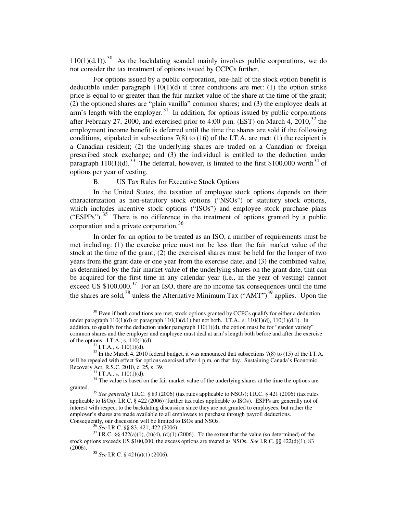$110(1)(d.1)$ .<sup>[30](#page-9-0)</sup> As the backdating scandal mainly involves public corporations, we do not consider the tax treatment of options issued by CCPCs further.

For options issued by a public corporation, one-half of the stock option benefit is deductible under paragraph  $110(1)(d)$  if three conditions are met: (1) the option strike price is equal to or greater than the fair market value of the share at the time of the grant; (2) the optioned shares are "plain vanilla" common shares; and (3) the employee deals at  $arm's length with the employer.<sup>31</sup> In addition, for options issued by public corporations.$  $arm's length with the employer.<sup>31</sup> In addition, for options issued by public corporations.$  $arm's length with the employer.<sup>31</sup> In addition, for options issued by public corporations.$ after February 27, 2000, and exercised prior to 4:00 p.m. (EST) on March 4, 2010,<sup>[32](#page-9-2)</sup> the employment income benefit is deferred until the time the shares are sold if the following conditions, stipulated in subsections  $7(8)$  to  $(16)$  of the I.T.A. are met:  $(1)$  the recipient is a Canadian resident; (2) the underlying shares are traded on a Canadian or foreign prescribed stock exchange; and (3) the individual is entitled to the deduction under paragraph  $110(1)(d)$ .<sup>[33](#page-9-3)</sup> The deferral, however, is limited to the first \$100,000 worth<sup>[34](#page-9-4)</sup> of options per year of vesting.

# B. US Tax Rules for Executive Stock Options

<span id="page-9-9"></span>In the United States, the taxation of employee stock options depends on their characterization as non-statutory stock options ("NSOs") or statutory stock options, which includes incentive stock options ("ISOs") and employee stock purchase plans ("ESPPs").<sup>[35](#page-9-5)</sup> There is no difference in the treatment of options granted by a public corporation and a private corporation.[36](#page-9-6)

In order for an option to be treated as an ISO, a number of requirements must be met including: (1) the exercise price must not be less than the fair market value of the stock at the time of the grant; (2) the exercised shares must be held for the longer of two years from the grant date or one year from the exercise date; and (3) the combined value, as determined by the fair market value of the underlying shares on the grant date, that can be acquired for the first time in any calendar year (i.e., in the year of vesting) cannot exceed US  $$100,000$ .<sup>[37](#page-9-7)</sup> For an ISO, there are no income tax consequences until the time the shares are sold,<sup>[38](#page-9-8)</sup> unless the Alternative Minimum Tax ("AMT")<sup>[39](#page-9-9)</sup> applies. Upon the

<u>.</u>

<span id="page-9-0"></span> $30$  Even if both conditions are met, stock options granted by CCPCs qualify for either a deduction under paragraph  $110(1)(d)$  or paragraph  $110(1)(d.1)$  but not both. I.T.A., s.  $110(1)(d)$ ,  $110(1)(d.1)$ . In addition, to qualify for the deduction under paragraph  $110(1)(d)$ , the option must be for "garden variety" common shares and the employer and employee must deal at arm's length both before and after the exercise of the options. I.T.A., s.  $110(1)(d)$ .

 $31$  I.T.A., s.  $110(1)(d)$ .

<span id="page-9-2"></span><span id="page-9-1"></span> $32$  In the March 4, 2010 federal budget, it was announced that subsections 7(8) to (15) of the I.T.A. will be repealed with effect for options exercised after 4 p.m. on that day. Sustaining Canada's Economic Recovery Act, R.S.C. 2010, c. 25, s. 39.

 $33$  I.T.A., s.  $110(1)(d)$ .

<span id="page-9-4"></span><span id="page-9-3"></span><sup>&</sup>lt;sup>34</sup> The value is based on the fair market value of the underlying shares at the time the options are granted.

<span id="page-9-5"></span><sup>35</sup> *See generally* I.R.C. § 83 (2006) (tax rules applicable to NSOs); I.R.C. § 421 (2006) (tax rules applicable to ISOs); I.R.C. § 422 (2006) (further tax rules applicable to ISOs). ESPPs are generally not of interest with respect to the backdating discussion since they are not granted to employees, but rather the employer's shares are made available to all employees to purchase through payroll deductions. Consequently, our discussion will be limited to ISOs and NSOs.

<sup>36</sup> *See* I.R.C. §§ 83, 421, 422 (2006).

<span id="page-9-8"></span><span id="page-9-7"></span><span id="page-9-6"></span><sup>&</sup>lt;sup>37</sup> I.R.C. §§ 422(a)(1), (b)(4), (d)(1) (2006). To the extent that the value (so determined) of the stock options exceeds US \$100,000, the excess options are treated as NSOs. *See* I.R.C. §§ 422(d)(1), 83 (2006).

<sup>38</sup> *See* I.R.C. § 421(a)(1) (2006).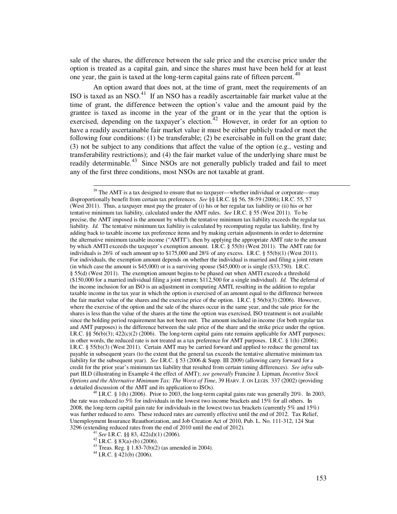sale of the shares, the difference between the sale price and the exercise price under the option is treated as a capital gain, and since the shares must have been held for at least one year, the gain is taxed at the long-term capital gains rate of fifteen percent. $40$ 

An option award that does not, at the time of grant, meet the requirements of an ISO is taxed as an NSO. $^{41}$  $^{41}$  $^{41}$  If an NSO has a readily ascertainable fair market value at the time of grant, the difference between the option's value and the amount paid by the grantee is taxed as income in the year of the grant or in the year that the option is exercised, depending on the taxpayer's election. $42$  However, in order for an option to have a readily ascertainable fair market value it must be either publicly traded or meet the following four conditions: (1) be transferable; (2) be exercisable in full on the grant date; (3) not be subject to any conditions that affect the value of the option (e.g., vesting and transferability restrictions); and (4) the fair market value of the underlying share must be readily determinable.<sup>[43](#page-10-3)</sup> Since NSOs are not generally publicly traded and fail to meet any of the first three conditions, most NSOs are not taxable at grant.

<u>.</u>

 $39$  The AMT is a tax designed to ensure that no taxpayer—whether individual or corporate—may disproportionally benefit from certain tax preferences. *See* §§ I.R.C. §§ 56, 58-59 (2006); I.R.C. 55, 57 (West 2011). Thus, a taxpayer must pay the greater of (i) his or her regular tax liability or (ii) his or her tentative minimum tax liability, calculated under the AMT rules. *See* I.R.C. § 55 (West 2011). To be precise, the AMT imposed is the amount by which the tentative minimum tax liability exceeds the regular tax liability. *Id.* The tentative minimum tax liability is calculated by recomputing regular tax liability, first by adding back to taxable income tax preference items and by making certain adjustments in order to determine the alternative minimum taxable income ("AMTI"), then by applying the appropriate AMT rate to the amount by which AMTI exceeds the taxpayer's exemption amount. I.R.C. § 55(b) (West 2011). The AMT rate for individuals is  $26\%$  of such amount up to  $$175,000$  and  $28\%$  of any excess. I.R.C. §  $55(b)(1)$  (West 2011). For individuals, the exemption amount depends on whether the individual is married and filing a joint return (in which case the amount is \$45,000) or is a surviving spouse (\$45,000) or is single (\$33,750).I.R.C. § 55(d) (West 2011).The exemption amount begins to be phased out when AMTI exceeds a threshold (\$150,000 for a married individual filing a joint return; \$112,500 for a single individual). *Id.* The deferral of the income inclusion for an ISO is an adjustment in computing AMTI, resulting in the addition to regular taxable income in the tax year in which the option is exercised of an amount equal to the difference between the fair market value of the shares and the exercise price of the option. I.R.C.  $\S 56(b)(3)$  (2006). However, where the exercise of the option and the sale of the shares occur in the same year, and the sale price for the shares is less than the value of the shares at the time the option was exercised, ISO treatment is not available since the holding period requirement has not been met. The amount included in income (for both regular tax and AMT purposes) is the difference between the sale price of the share and the strike price under the option. I.R.C. §§ 56(b)(3);  $422(c)(2)$  (2006). The long-term capital gains rate remains applicable for AMT purposes; in other words, the reduced rate is not treated as a tax preference for AMT purposes. I.R.C. § 1(h) (2006); I.R.C. § 55(b)(3) (West 2011). Certain AMT may be carried forward and applied to reduce the general tax payable in subsequent years (to the extent that the general tax exceeds the tentative alternative minimum tax liability for the subsequent year). *See* I.R.C. § 53 (2006 & Supp. III 2009) (allowing carry forward for a credit for the prior year's minimum tax liability that resulted from certain timing differences). *See infra* subpart III.D (illustrating in Example 4 the effect of AMT); *see generally* Francine J. Lipman, *Incentive Stock Options and the Alternative Minimum Tax: The Worst of Time*, 39 HARV. J. ON LEGIS. 337 (2002) (providing a detailed discussion of the AMT and its application to ISOs).

<span id="page-10-3"></span><span id="page-10-2"></span><span id="page-10-1"></span><span id="page-10-0"></span> $^{40}$  I.R.C. § 1(h) (2006). Prior to 2003, the long-term capital gains rate was generally 20%. In 2003, the rate was reduced to 5% for individuals in the lowest two income brackets and 15% for all others. In 2008, the long-term capital gain rate for individuals in the lowest two tax brackets (currently 5% and 15%) was further reduced to zero. These reduced rates are currently effective until the end of 2012. Tax Relief, Unemployment Insurance Reauthorization, and Job Creation Act of 2010, Pub. L. No. 111-312, 124 Stat 3296 (extending reduced rates from the end of 2010 until the end of 2012).

<sup>41</sup> *See* I.R.C. §§ 83, 422(d)(1) (2006).

<sup>42</sup> I.R.C.  $\frac{1}{9}$  83(a)-(b) (2006).

<sup>&</sup>lt;sup>43</sup> Treas. Reg. § 1.83-7(b)(2) (as amended in 2004).

 $44$  I.R.C. § 421(b) (2006).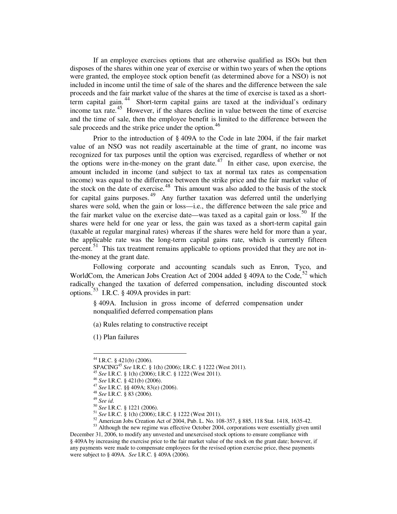If an employee exercises options that are otherwise qualified as ISOs but then disposes of the shares within one year of exercise or within two years of when the options were granted, the employee stock option benefit (as determined above for a NSO) is not included in income until the time of sale of the shares and the difference between the sale proceeds and the fair market value of the shares at the time of exercise is taxed as a shortterm capital gain. [44](#page-11-0) Short-term capital gains are taxed at the individual's ordinary income tax rate.[45](#page-11-1) However, if the shares decline in value between the time of exercise and the time of sale, then the employee benefit is limited to the difference between the sale proceeds and the strike price under the option.<sup>[46](#page-11-2)</sup>

Prior to the introduction of § 409A to the Code in late 2004, if the fair market value of an NSO was not readily ascertainable at the time of grant, no income was recognized for tax purposes until the option was exercised, regardless of whether or not the options were in-the-money on the grant date. $47$  In either case, upon exercise, the amount included in income (and subject to tax at normal tax rates as compensation income) was equal to the difference between the strike price and the fair market value of the stock on the date of exercise.<sup>[48](#page-11-4)</sup> This amount was also added to the basis of the stock for capital gains purposes.<sup>[49](#page-11-5)</sup> Any further taxation was deferred until the underlying shares were sold, when the gain or loss—i.e., the difference between the sale price and the fair market value on the exercise date—was taxed as a capital gain or loss.<sup>[50](#page-11-6)</sup> If the shares were held for one year or less, the gain was taxed as a short-term capital gain (taxable at regular marginal rates) whereas if the shares were held for more than a year, the applicable rate was the long-term capital gains rate, which is currently fifteen percent.<sup>[51](#page-11-7)</sup> This tax treatment remains applicable to options provided that they are not inthe-money at the grant date.

Following corporate and accounting scandals such as Enron, Tyco, and WorldCom, the American Jobs Creation Act of 2004 added  $\S$  409A to the Code,  $52$  which radically changed the taxation of deferred compensation, including discounted stock options.  $53$  I.R.C. § 409A provides in part:

§ 409A. Inclusion in gross income of deferred compensation under nonqualified deferred compensation plans

(a) Rules relating to constructive receipt

(1) Plan failures

 $\overline{a}$ 

<span id="page-11-9"></span><span id="page-11-8"></span><span id="page-11-7"></span><span id="page-11-6"></span><span id="page-11-5"></span><span id="page-11-4"></span><span id="page-11-3"></span><span id="page-11-2"></span><span id="page-11-1"></span>53 Although the new regime was effective October 2004, corporations were essentially given until December 31, 2006, to modify any unvested and unexercised stock options to ensure compliance with § 409A by increasing the exercise price to the fair market value of the stock on the grant date; however, if any payments were made to compensate employees for the revised option exercise price, these payments were subject to § 409A. *See* I.R.C. § 409A (2006).

<span id="page-11-0"></span> $^{44}$  I.R.C. § 421(b) (2006).

SPACING<sup>45</sup> *See* I.R.C. § 1(h) (2006); I.R.C. § 1222 (West 2011).

<sup>45</sup> *See* I.R.C. § 1(h) (2006); I.R.C. § 1222 (West 2011).

<sup>46</sup> *See* I.R.C. § 421(b) (2006).

<sup>47</sup> *See* I.R.C. §§ 409A; 83(e) (2006).

<sup>48</sup> *See* I.R.C. § 83 (2006).

<sup>49</sup> *See id*.

<sup>50</sup> *See* I.R.C. § 1221 (2006).

<sup>51</sup> *See* I.R.C. § 1(h) (2006); I.R.C. § 1222 (West 2011).

 $52$  American Jobs Creation Act of 2004, Pub. L. No. 108-357, § 885, 118 Stat. 1418, 1635-42.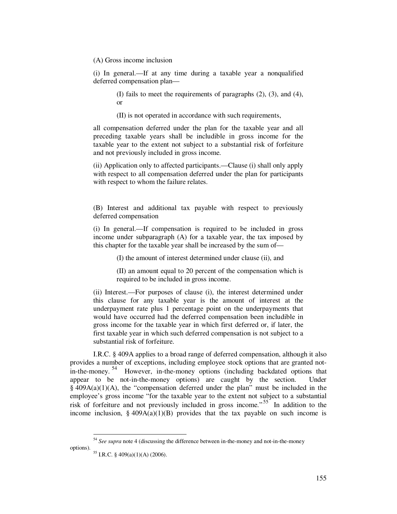(A) Gross income inclusion

(i) In general.—If at any time during a taxable year a nonqualified deferred compensation plan—

> (I) fails to meet the requirements of paragraphs (2), (3), and (4), or

(II) is not operated in accordance with such requirements,

all compensation deferred under the plan for the taxable year and all preceding taxable years shall be includible in gross income for the taxable year to the extent not subject to a substantial risk of forfeiture and not previously included in gross income.

(ii) Application only to affected participants.—Clause (i) shall only apply with respect to all compensation deferred under the plan for participants with respect to whom the failure relates.

(B) Interest and additional tax payable with respect to previously deferred compensation

(i) In general.—If compensation is required to be included in gross income under subparagraph (A) for a taxable year, the tax imposed by this chapter for the taxable year shall be increased by the sum of—

(I) the amount of interest determined under clause (ii), and

(II) an amount equal to 20 percent of the compensation which is required to be included in gross income.

(ii) Interest.—For purposes of clause (i), the interest determined under this clause for any taxable year is the amount of interest at the underpayment rate plus 1 percentage point on the underpayments that would have occurred had the deferred compensation been includible in gross income for the taxable year in which first deferred or, if later, the first taxable year in which such deferred compensation is not subject to a substantial risk of forfeiture.

I.R.C. § 409A applies to a broad range of deferred compensation, although it also provides a number of exceptions, including employee stock options that are granted not-in-the-money.<sup>[54](#page-12-0)</sup> However, in-the-money options (including backdated options that appear to be not-in-the-money options) are caught by the section. Under  $§$  409A(a)(1)(A), the "compensation deferred under the plan" must be included in the employee's gross income "for the taxable year to the extent not subject to a substantial risk of forfeiture and not previously included in gross income."<sup>[55](#page-12-1)</sup> In addition to the income inclusion, § 409A(a)(1)(B) provides that the tax payable on such income is

<span id="page-12-1"></span><span id="page-12-0"></span><sup>54</sup> *See supra* note 4 (discussing the difference between in-the-money and not-in-the-money options).

<sup>55</sup> I.R.C. § 409(a)(1)(A) (2006).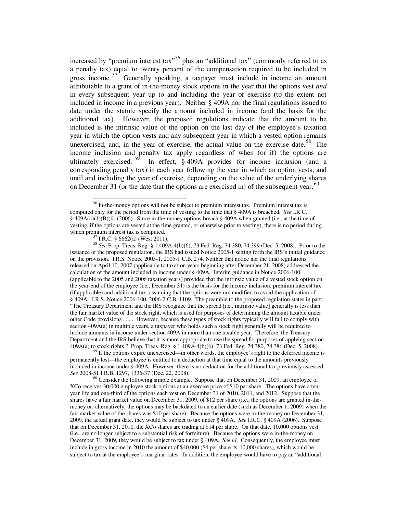increased by "premium interest  $\arctan 56$  $\arctan 56$  plus an "additional tax" (commonly referred to as a penalty tax) equal to twenty percent of the compensation required to be included in gross income.<sup>[57](#page-13-1)</sup> Generally speaking, a taxpayer must include in income an amount attributable to a grant of in-the-money stock options in the year that the options vest *and* in every subsequent year up to and including the year of exercise (to the extent not included in income in a previous year). Neither § 409A nor the final regulations issued to date under the statute specify the amount included in income (and the basis for the additional tax). However, the proposed regulations indicate that the amount to be included is the intrinsic value of the option on the last day of the employee's taxation year in which the option vests and any subsequent year in which a vested option remains unexercised, and, in the year of exercise, the actual value on the exercise date.<sup>[58](#page-13-2)</sup> The income inclusion and penalty tax apply regardless of when (or if) the options are ultimately exercised.  $59$  In effect,  $\frac{6}{9}$  409A provides for income inclusion (and a corresponding penalty tax) in each year following the year in which an option vests, and until and including the year of exercise, depending on the value of the underlying shares on December 31 (or the date that the options are exercised in) of the subsequent year.<sup>[60](#page-13-4)</sup>

<u>.</u>

<span id="page-13-2"></span><span id="page-13-1"></span><sup>58</sup> *See* Prop. Treas. Reg. § 1.409A-4(b)(6), 73 Fed. Reg. 74.380, 74.399 (Dec. 5, 2008). Prior to the issuance of the proposed regulation, the IRS had issued Notice 2005-1 setting forth the IRS's initial guidance on the provision. I.R.S. Notice 2005-1, 2005-1 C.B. 274. Neither that notice nor the final regulations released on April 10, 2007 (applicable to taxation years beginning after December 21, 2008) addressed the calculation of the amount included in income under § 409A. Interim guidance in Notice 2006-100 (applicable to the 2005 and 2006 taxation years) provided that the intrinsic value of a vested stock option on the year-end of the employee (i.e., December 31) is the basis for the income inclusion, premium interest tax (if applicable) and additional tax, assuming that the options were not modified to avoid the application of § 409A. I.R.S. Notice 2006-100, 2006-2 C.B. 1109. The preamble to the proposed regulation states in part: "The Treasury Department and the IRS recognize that the spread [i.e., intrinsic value] generally is less than the fair market value of the stock right, which is used for purposes of determining the amount taxable under other Code provisions . . . . However, because these types of stock rights typically will fail to comply with section 409A(a) in multiple years, a taxpayer who holds such a stock right generally will be required to include amounts in income under section 409A in more than one taxable year. Therefore, the Treasury Department and the IRS believe that it is more appropriate to use the spread for purposes of applying section 409A(a) to stock rights." Prop. Treas. Reg. § 1.409A-4(b)(6), 73 Fed. Reg. 74.380, 74.386 (Dec. 5, 2008).

<span id="page-13-3"></span><sup>59</sup> If the options expire unexercised—in other words, the employee's right to the deferred income is permanently lost—the employee is entitled to a deduction at that time equal to the amounts previously included in income under § 409A. However, there is no deduction for the additional tax previously assessed. *See* 2008-51 I.R.B. 1297, 1336-37 (Dec. 22, 2008).

<span id="page-13-4"></span> $60$  Consider the following simple example. Suppose that on December 31, 2009, an employee of XCo receives 30,000 employee stock options at an exercise price of \$10 per share. The options have a tenyear life and one-third of the options each vest on December 31 of 2010, 2011, and 2012. Suppose that the shares have a fair market value on December 31, 2009, of \$12 per share (i.e., the options are granted in-themoney or, alternatively, the options may be backdated to an earlier date (such as December 1, 2009) when the fair market value of the shares was \$10 per share). Because the options were in-the-money on December 31, 2009, the actual grant date, they would be subject to tax under § 409A. *See* I.R.C. § 409A (2006). Suppose that on December 31, 2010, the XCo shares are trading at \$14 per share. On that date, 10,000 options vest (i.e., are no longer subject to a substantial risk of forfeiture). Because the options were in-the-money on December 31, 2009, they would be subject to tax under § 409A. *See id*. Consequently, the employee must include in gross income in 2010 the amount of  $$40,000$  (\$4 per share  $\times$  10,000 shares), which would be subject to tax at the employee's marginal rates. In addition, the employee would have to pay an "additional

<span id="page-13-0"></span><sup>&</sup>lt;sup>56</sup> In-the-money options will not be subject to premium interest tax. Premium interest tax is computed only for the period from the time of vesting to the time that § 409A is breached. *See* I.R.C.  $\S$  409A(a)(1)(B)(ii) (2006). Since in-the-money options breach  $\S$  409A when granted (i.e., at the time of vesting, if the options are vested at the time granted, or otherwise prior to vesting), there is no period during which premium interest tax is computed.

 $57$  I.R.C. § 6662(a) (West 2011).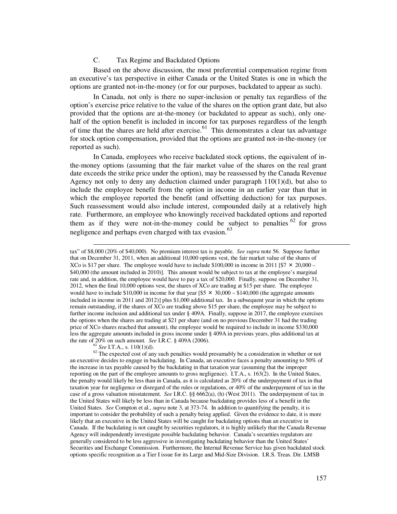## C. Tax Regime and Backdated Options

Based on the above discussion, the most preferential compensation regime from an executive's tax perspective in either Canada or the United States is one in which the options are granted not-in-the-money (or for our purposes, backdated to appear as such).

In Canada, not only is there no super-inclusion or penalty tax regardless of the option's exercise price relative to the value of the shares on the option grant date, but also provided that the options are at-the-money (or backdated to appear as such), only onehalf of the option benefit is included in income for tax purposes regardless of the length of time that the shares are held after exercise.<sup>[61](#page-14-0)</sup> This demonstrates a clear tax advantage for stock option compensation, provided that the options are granted not-in-the-money (or reported as such).

In Canada, employees who receive backdated stock options, the equivalent of inthe-money options (assuming that the fair market value of the shares on the real grant date exceeds the strike price under the option), may be reassessed by the Canada Revenue Agency not only to deny any deduction claimed under paragraph  $110(1)(d)$ , but also to include the employee benefit from the option in income in an earlier year than that in which the employee reported the benefit (and offsetting deduction) for tax purposes. Such reassessment would also include interest, compounded daily at a relatively high rate. Furthermore, an employee who knowingly received backdated options and reported them as if they were not-in-the-money could be subject to penalties  $62$  for gross negligence and perhaps even charged with tax evasion.<sup>[63](#page-14-2)</sup>

<span id="page-14-2"></span>tax" of \$8,000 (20% of \$40,000). No premium interest tax is payable. *See supra* note 56. Suppose further that on December 31, 2011, when an additional 10,000 options vest, the fair market value of the shares of XCo is \$17 per share. The employee would have to include \$100,000 in income in 2011 [\$7  $\times$  20,000 – \$40,000 (the amount included in 2010)]. This amount would be subject to tax at the employee's marginal rate and, in addition, the employee would have to pay a tax of \$20,000. Finally, suppose on December 31, 2012, when the final 10,000 options vest, the shares of XCo are trading at \$15 per share. The employee would have to include \$10,000 in income for that year  $\frac{5 \times 30,000 - 140,000}{5}$  (the aggregate amounts included in income in 2011 and 2012)] plus \$1,000 additional tax. In a subsequent year in which the options remain outstanding, if the shares of XCo are trading above \$15 per share, the employee may be subject to further income inclusion and additional tax under § 409A. Finally, suppose in 2017, the employee exercises the options when the shares are trading at \$21 per share (and on no previous December 31 had the trading price of XCo shares reached that amount), the employee would be required to include in income \$330,000 less the aggregate amounts included in gross income under § 409A in previous years, plus additional tax at the rate of 20% on such amount. *See* I.R.C. § 409A (2006).

<sup>61</sup> *See* I.T.A., s. 110(1)(d).

 $\overline{a}$ 

<span id="page-14-1"></span><span id="page-14-0"></span><sup>62</sup> The expected cost of any such penalties would presumably be a consideration in whether or not an executive decides to engage in backdating. In Canada, an executive faces a penalty amounting to 50% of the increase in tax payable caused by the backdating in that taxation year (assuming that the improper reporting on the part of the employee amounts to gross negligence). I.T.A., s. 163(2). In the United States, the penalty would likely be less than in Canada, as it is calculated as 20% of the underpayment of tax in that taxation year for negligence or disregard of the rules or regulations, or 40% of the underpayment of tax in the case of a gross valuation misstatement. *See* I.R.C. §§ 6662(a), (h) (West 2011). The underpayment of tax in the United States will likely be less than in Canada because backdating provides less of a benefit in the United States. *See* Compton et al., *supra* note 3, at 373-74. In addition to quantifying the penalty, it is important to consider the probability of such a penalty being applied. Given the evidence to date, it is more likely that an executive in the United States will be caught for backdating options than an executive in Canada. If the backdating is not caught by securities regulators, it is highly unlikely that the Canada Revenue Agency will independently investigate possible backdating behavior. Canada's securities regulators are generally considered to be less aggressive in investigating backdating behavior than the United States' Securities and Exchange Commission. Furthermore, the Internal Revenue Service has given backdated stock options specific recognition as a Tier I issue for its Large and Mid-Size Division. I.R.S. Treas. Dir. LMSB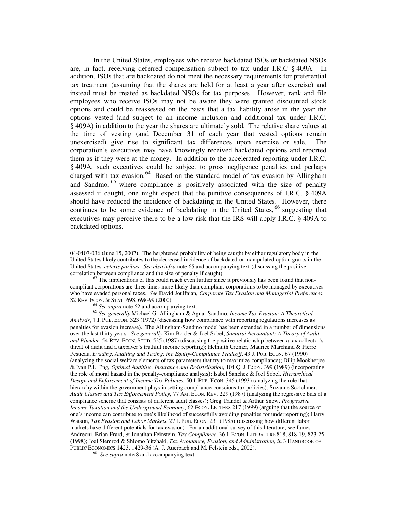In the United States, employees who receive backdated ISOs or backdated NSOs are, in fact, receiving deferred compensation subject to tax under I.R.C § 409A. In addition, ISOs that are backdated do not meet the necessary requirements for preferential tax treatment (assuming that the shares are held for at least a year after exercise) and instead must be treated as backdated NSOs for tax purposes. However, rank and file employees who receive ISOs may not be aware they were granted discounted stock options and could be reassessed on the basis that a tax liability arose in the year the options vested (and subject to an income inclusion and additional tax under I.R.C. § 409A) in addition to the year the shares are ultimately sold. The relative share values at the time of vesting (and December 31 of each year that vested options remain unexercised) give rise to significant tax differences upon exercise or sale. The corporation's executives may have knowingly received backdated options and reported them as if they were at-the-money. In addition to the accelerated reporting under I.R.C. § 409A, such executives could be subject to gross negligence penalties and perhaps charged with tax evasion.<sup>[64](#page-15-0)</sup> Based on the standard model of tax evasion by Allingham and Sandmo,  $65$  where compliance is positively associated with the size of penalty assessed if caught, one might expect that the punitive consequences of I.R.C. § 409A should have reduced the incidence of backdating in the United States. However, there continues to be some evidence of backdating in the United States,  $66$  suggesting that executives may perceive there to be a low risk that the IRS will apply I.R.C. § 409A to backdated options.

<sup>64</sup> *See supra* note 62 and accompanying text.

 $\overline{a}$ 

<span id="page-15-1"></span><span id="page-15-0"></span><sup>65</sup> *See generally* Michael G. Allingham & Agnar Sandmo, *Income Tax Evasion: A Theoretical Analysis*, 1 J. PUB. ECON. 323 (1972) (discussing how compliance with reporting regulations increases as penalties for evasion increase). The Allingham-Sandmo model has been extended in a number of dimensions over the last thirty years. *See generally* Kim Border & Joel Sobel, *Samurai Accountant: A Theory of Audit and Plunder*, 54 REV. ECON. STUD. 525 (1987) (discussing the positive relationship between a tax collector's threat of audit and a taxpayer's truthful income reporting); Helmuth Cremer, Maurice Marchand & Pierre Pestieau, *Evading, Auditing and Taxing: the Equity-Compliance Tradeoff*, 43 J. PUB. ECON. 67 (1990) (analyzing the social welfare elements of tax parameters that try to maximize compliance); Dilip Mookherjee & Ivan P.L. Png, *Optimal Auditing, Insurance and Redistribution*, 104 Q. J. ECON. 399 (1989) (incorporating the role of moral hazard in the penalty-compliance analysis); Isabel Sanchez & Joel Sobel, *Hierarchical Design and Enforcement of Income Tax Policies*, 50 J. PUB. ECON. 345 (1993) (analyzing the role that hierarchy within the government plays in setting compliance-conscious tax policies); Suzanne Scotchmer, *Audit Classes and Tax Enforcement Policy*, 77 AM. ECON. REV. 229 (1987) (analyzing the regressive bias of a compliance scheme that consists of different audit classes); Greg Trandel & Arthur Snow, *Progressive Income Taxation and the Underground Economy*, 62 ECON. LETTERS 217 (1999) (arguing that the source of one's income can contribute to one's likelihood of successfully avoiding penalties for underreporting); Harry Watson, *Tax Evasion and Labor Markets*, 27 J. PUB. ECON. 231 (1985) (discussing how different labor markets have different potentials for tax evasion). For an additional survey of this literature, see James Andreoni, Brian Erard, & Jonathan Feinstein, *Tax Compliance*, 36 J. ECON. LITERATURE 818, 818-19, 823-25 (1998); Joel Slemrod & Shlomo Yitzhaki, *Tax Avoidance, Evasion, and Administration*, *in* 3 HANDBOOK OF PUBLIC ECONOMICS 1423, 1429-36 (A. J. Auerbach and M. Felstein eds., 2002).

<span id="page-15-2"></span>66 *See supra* note 8 and accompanying text.

<sup>04-0407-036 (</sup>June 15, 2007). The heightened probability of being caught by either regulatory body in the United States likely contributes to the decreased incidence of backdated or manipulated option grants in the United States, *ceteris paribus*. *See also infra* note 65 and accompanying text (discussing the positive correlation between compliance and the size of penalty if caught).

 $63$  The implications of this could reach even further since it previously has been found that noncompliant corporations are three times more likely than compliant corporations to be managed by executives who have evaded personal taxes. *See* David Joulfaian, *Corporate Tax Evasion and Managerial Preferences*, 82 REV. ECON. & STAT. 698, 698-99 (2000).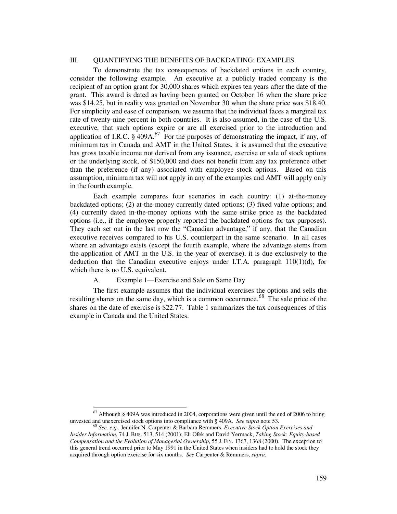## III. QUANTIFYING THE BENEFITS OF BACKDATING: EXAMPLES

To demonstrate the tax consequences of backdated options in each country, consider the following example. An executive at a publicly traded company is the recipient of an option grant for 30,000 shares which expires ten years after the date of the grant. This award is dated as having been granted on October 16 when the share price was \$14.25, but in reality was granted on November 30 when the share price was \$18.40. For simplicity and ease of comparison, we assume that the individual faces a marginal tax rate of twenty-nine percent in both countries. It is also assumed, in the case of the U.S. executive, that such options expire or are all exercised prior to the introduction and application of I.R.C.  $\frac{2}{3}$  409A.<sup>[67](#page-16-0)</sup> For the purposes of demonstrating the impact, if any, of minimum tax in Canada and AMT in the United States, it is assumed that the executive has gross taxable income not derived from any issuance, exercise or sale of stock options or the underlying stock, of \$150,000 and does not benefit from any tax preference other than the preference (if any) associated with employee stock options. Based on this assumption, minimum tax will not apply in any of the examples and AMT will apply only in the fourth example.

Each example compares four scenarios in each country: (1) at-the-money backdated options; (2) at-the-money currently dated options; (3) fixed value options; and (4) currently dated in-the-money options with the same strike price as the backdated options (i.e., if the employee properly reported the backdated options for tax purposes). They each set out in the last row the "Canadian advantage," if any, that the Canadian executive receives compared to his U.S. counterpart in the same scenario. In all cases where an advantage exists (except the fourth example, where the advantage stems from the application of AMT in the U.S. in the year of exercise), it is due exclusively to the deduction that the Canadian executive enjoys under I.T.A. paragraph  $110(1)(d)$ , for which there is no U.S. equivalent.

# A. Example 1—Exercise and Sale on Same Day

 $\overline{a}$ 

The first example assumes that the individual exercises the options and sells the resulting shares on the same day, which is a common occurrence.<sup>[68](#page-16-1)</sup> The sale price of the shares on the date of exercise is \$22.77. Table 1 summarizes the tax consequences of this example in Canada and the United States.

<span id="page-16-0"></span> $67$  Although § 409A was introduced in 2004, corporations were given until the end of 2006 to bring unvested and unexercised stock options into compliance with § 409A. *See supra* note 53.

<span id="page-16-1"></span><sup>68</sup> *See, e.g.*, Jennifer N. Carpenter & Barbara Remmers, *Executive Stock Option Exercises and Insider Information*, 74 J. BUS. 513, 514 (2001); Eli Ofek and David Yermack, *Taking Stock: Equity-based Compensation and the Evolution of Managerial Ownership*, 55 J. FIN. 1367, 1368 (2000). The exception to this general trend occurred prior to May 1991 in the United States when insiders had to hold the stock they acquired through option exercise for six months. *See* Carpenter & Remmers, *supra*.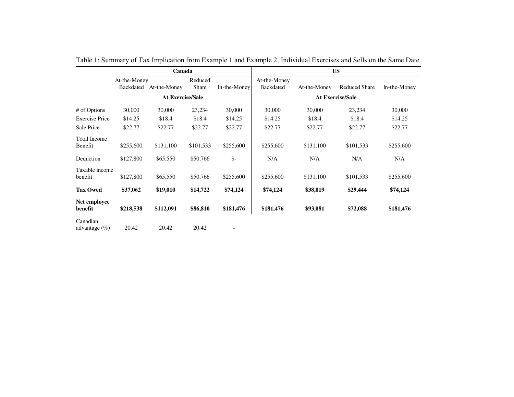|                              |              | Canada                  |                                  |                 | <b>US</b>                        |              |                      |              |  |
|------------------------------|--------------|-------------------------|----------------------------------|-----------------|----------------------------------|--------------|----------------------|--------------|--|
|                              | At-the-Money | Backdated At-the-Money  | Reduced<br>In-the-Money<br>Share |                 | At-the-Money<br><b>Backdated</b> | At-the-Money | <b>Reduced Share</b> | In-the-Money |  |
|                              |              | <b>At Exercise/Sale</b> |                                  |                 |                                  |              |                      |              |  |
| # of Options                 | 30,000       | 30,000                  | 23,234                           | 30,000          | 30,000                           | 30,000       | 23,234               | 30,000       |  |
| <b>Exercise Price</b>        | \$14.25      | \$18.4                  | \$18.4                           | \$14.25         | \$14.25                          | \$18.4       | \$18.4               | \$14.25      |  |
| Sale Price                   | \$22.77      | \$22.77                 | \$22.77                          | \$22.77         | \$22.77                          | \$22.77      | \$22.77              | \$22.77      |  |
| Total Income<br>Benefit      | \$255,600    | \$131,100               | \$101,533                        | \$255,600       | \$255,600                        | \$131,100    | \$101,533            | \$255,600    |  |
| Deduction                    | \$127,800    | \$65,550                | \$50,766                         | $\mathcal{S}$ - | N/A                              | N/A          | N/A                  | N/A          |  |
| Taxable income<br>benefit    | \$127,800    | \$65,550                | \$50,766                         | \$255,600       | \$255,600                        | \$131,100    | \$101,533            | \$255,600    |  |
| <b>Tax Owed</b>              | \$37,062     | \$19,010                | \$14,722                         | \$74,124        | \$74,124                         | \$38,019     | \$29,444             | \$74,124     |  |
| Net employee<br>benefit      | \$218,538    | \$112,091               | \$86,810                         | \$181,476       | \$181,476                        | \$93,081     | \$72,088             | \$181,476    |  |
| Canadian<br>advantage $(\%)$ | 20.42        | 20.42                   | 20.42                            |                 |                                  |              |                      |              |  |

Table 1: Summary of Tax Implication from Example 1 and Example 2, Individual Exercises and Sells on the Same Date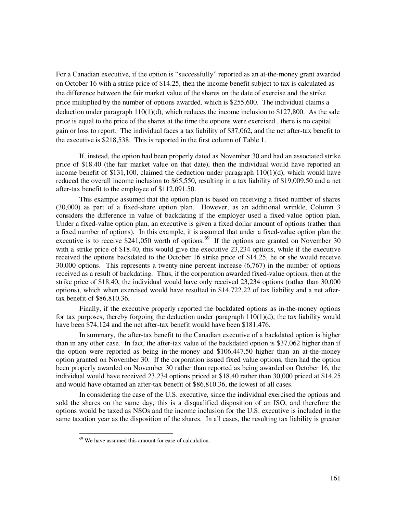For a Canadian executive, if the option is "successfully" reported as an at-the-money grant awarded on October 16 with a strike price of \$14.25, then the income benefit subject to tax is calculated as the difference between the fair market value of the shares on the date of exercise and the strike price multiplied by the number of options awarded, which is \$255,600. The individual claims a deduction under paragraph  $110(1)(d)$ , which reduces the income inclusion to \$127,800. As the sale price is equal to the price of the shares at the time the options were exercised , there is no capital gain or loss to report. The individual faces a tax liability of \$37,062, and the net after-tax benefit to the executive is \$218,538. This is reported in the first column of Table 1.

If, instead, the option had been properly dated as November 30 and had an associated strike price of \$18.40 (the fair market value on that date), then the individual would have reported an income benefit of \$131,100, claimed the deduction under paragraph  $110(1)(d)$ , which would have reduced the overall income inclusion to \$65,550, resulting in a tax liability of \$19,009.50 and a net after-tax benefit to the employee of \$112,091.50.

This example assumed that the option plan is based on receiving a fixed number of shares (30,000) as part of a fixed-share option plan. However, as an additional wrinkle, Column 3 considers the difference in value of backdating if the employer used a fixed-value option plan. Under a fixed-value option plan, an executive is given a fixed dollar amount of options (rather than a fixed number of options). In this example, it is assumed that under a fixed-value option plan the executive is to receive \$241,050 worth of options.<sup>[69](#page-18-0)</sup> If the options are granted on November 30 with a strike price of \$18.40, this would give the executive 23,234 options, while if the executive received the options backdated to the October 16 strike price of \$14.25, he or she would receive 30,000 options. This represents a twenty-nine percent increase (6,767) in the number of options received as a result of backdating. Thus, if the corporation awarded fixed-value options, then at the strike price of \$18.40, the individual would have only received 23,234 options (rather than 30,000 options), which when exercised would have resulted in \$14,722.22 of tax liability and a net aftertax benefit of \$86,810.36.

Finally, if the executive properly reported the backdated options as in-the-money options for tax purposes, thereby forgoing the deduction under paragraph  $110(1)(d)$ , the tax liability would have been \$74,124 and the net after-tax benefit would have been \$181,476.

In summary, the after-tax benefit to the Canadian executive of a backdated option is higher than in any other case. In fact, the after-tax value of the backdated option is \$37,062 higher than if the option were reported as being in-the-money and \$106,447.50 higher than an at-the-money option granted on November 30. If the corporation issued fixed value options, then had the option been properly awarded on November 30 rather than reported as being awarded on October 16, the individual would have received 23,234 options priced at \$18.40 rather than 30,000 priced at \$14.25 and would have obtained an after-tax benefit of \$86,810.36, the lowest of all cases.

<span id="page-18-0"></span>In considering the case of the U.S. executive, since the individual exercised the options and sold the shares on the same day, this is a disqualified disposition of an ISO, and therefore the options would be taxed as NSOs and the income inclusion for the U.S. executive is included in the same taxation year as the disposition of the shares. In all cases, the resulting tax liability is greater

<sup>&</sup>lt;sup>69</sup> We have assumed this amount for ease of calculation.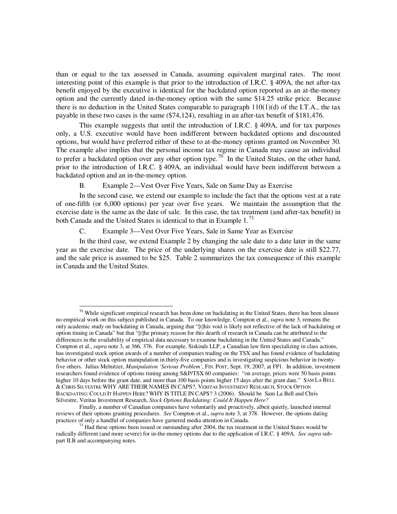than or equal to the tax assessed in Canada, assuming equivalent marginal rates. The most interesting point of this example is that prior to the introduction of I.R.C. § 409A, the net after-tax benefit enjoyed by the executive is identical for the backdated option reported as an at-the-money option and the currently dated in-the-money option with the same \$14.25 strike price. Because there is no deduction in the United States comparable to paragraph 110(1)(d) of the I.T.A., the tax payable in these two cases is the same (\$74,124), resulting in an after-tax benefit of \$181,476.

This example suggests that until the introduction of I.R.C. § 409A, and for tax purposes only, a U.S. executive would have been indifferent between backdated options and discounted options, but would have preferred either of these to at-the-money options granted on November 30. The example also implies that the personal income tax regime in Canada may cause an individual to prefer a backdated option over any other option type.<sup>[70](#page-19-0)</sup> In the United States, on the other hand, prior to the introduction of I.R.C. § 409A, an individual would have been indifferent between a backdated option and an in-the-money option.

B. Example 2—Vest Over Five Years, Sale on Same Day as Exercise

In the second case, we extend our example to include the fact that the options vest at a rate of one-fifth (or 6,000 options) per year over five years. We maintain the assumption that the exercise date is the same as the date of sale. In this case, the tax treatment (and after-tax benefit) in both Canada and the United States is identical to that in Example  $1<sup>71</sup>$  $1<sup>71</sup>$  $1<sup>71</sup>$ 

C. Example 3—Vest Over Five Years, Sale in Same Year as Exercise

 $\overline{a}$ 

In the third case, we extend Example 2 by changing the sale date to a date later in the same year as the exercise date. The price of the underlying shares on the exercise date is still \$22.77, and the sale price is assumed to be \$25. Table 2 summarizes the tax consequence of this example in Canada and the United States.

<span id="page-19-0"></span> $70$  While significant empirical research has been done on backdating in the United States, there has been almost no empirical work on this subject published in Canada. To our knowledge, Compton et al., *supra* note 3, remains the only academic study on backdating in Canada, arguing that "[t]his void is likely not reflective of the lack of backdating or option timing in Canada" but that "[t]he primary reason for this dearth of research in Canada can be attributed to the differences in the availability of empirical data necessary to examine backdating in the United States and Canada." Compton et al., *supra* note 3, at 366, 376. For example, Siskinds LLP, a Canadian law firm specializing in class actions, has investigated stock option awards of a number of companies trading on the TSX and has found evidence of backdating behavior or other stock option manipulation in thirty-five companies and is investigating suspicious behavior in twentyfive others. Julius Melnitzer, *Manipulation 'Serious Problem'*, FIN. POST, Sept. 19, 2007, at FP1. In addition, investment researchers found evidence of options timing among S&P/TSX 60 companies: "on average, prices were 50 basis points higher 10 days before the grant date, and more than 100 basis points higher 15 days after the grant date." SAM LA BELL & CHRIS SILVESTRE WHY ARE THEIR NAMES IN CAPS?, VERITAS INVESTMENT RESEARCH, STOCK OPTION BACKDATING: COULD IT HAPPEN HERE? WHY IS TITLE IN CAPS? 3 (2006). Should be Sam La Bell and Chris Silvestre, Veritas Investment Research, *Stock Options Backdating: Could It Happen Here?*

Finally, a number of Canadian companies have voluntarily and proactively, albeit quietly, launched internal reviews of their options granting procedures. *See* Compton et al., *supra* note 3, at 378. However, the options dating practices of only a handful of companies have garnered media attention in Canada.

<span id="page-19-1"></span> $71$  Had these options been issued or outstanding after 2004, the tax treatment in the United States would be radically different (and more severe) for in-the-money options due to the application of I.R.C. § 409A. *See supra* subpart II.B and accompanying notes.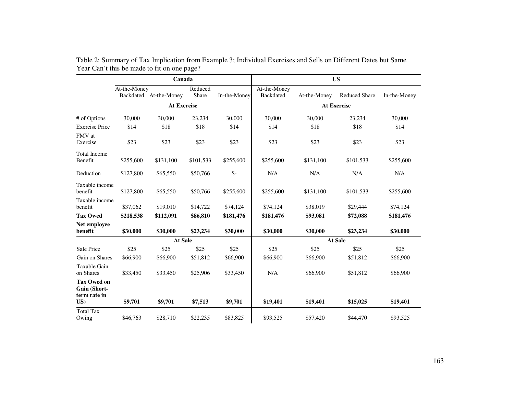|                                                           |              | Canada                 |                  |                | <b>US</b>                 |                    |                      |              |  |  |
|-----------------------------------------------------------|--------------|------------------------|------------------|----------------|---------------------------|--------------------|----------------------|--------------|--|--|
|                                                           | At-the-Money | Backdated At-the-Money | Reduced<br>Share | In-the-Money   | At-the-Money<br>Backdated | At-the-Money       | <b>Reduced Share</b> | In-the-Money |  |  |
|                                                           |              | <b>At Exercise</b>     |                  |                |                           | <b>At Exercise</b> |                      |              |  |  |
| # of Options                                              | 30,000       | 30,000                 | 23,234           | 30,000         | 30,000                    | 30,000             | 23,234               | 30,000       |  |  |
| <b>Exercise Price</b>                                     | \$14         | \$18                   | \$18             | \$14           | \$14                      | \$18               | \$18                 | \$14         |  |  |
| FMV at<br>Exercise                                        | \$23         | \$23                   | \$23             | \$23           | \$23                      | \$23               | \$23                 | \$23         |  |  |
| <b>Total Income</b><br>Benefit                            | \$255,600    | \$131,100              | \$101,533        | \$255,600      | \$255,600                 | \$131,100          | \$101,533            | \$255,600    |  |  |
| Deduction                                                 | \$127,800    | \$65,550               | \$50,766         | $\mathsf{S}$ - | $\rm N/A$                 | N/A                | N/A                  | $\rm N/A$    |  |  |
| Taxable income<br>benefit                                 | \$127,800    | \$65,550               | \$50,766         | \$255,600      | \$255,600                 | \$131,100          | \$101,533            | \$255,600    |  |  |
| Taxable income<br>benefit                                 | \$37,062     | \$19,010               | \$14,722         | \$74,124       | \$74,124                  | \$38,019           | \$29,444             | \$74,124     |  |  |
| <b>Tax Owed</b>                                           | \$218,538    | \$112,091              | \$86,810         | \$181,476      | \$181,476                 | \$93,081           | \$72,088             | \$181,476    |  |  |
| Net employee<br>benefit                                   | \$30,000     | \$30,000               | \$23,234         | \$30,000       | \$30,000                  | \$30,000           | \$23,234             | \$30,000     |  |  |
|                                                           |              | At Sale                |                  |                |                           |                    |                      |              |  |  |
| Sale Price                                                | \$25         | \$25                   | \$25             | \$25           | \$25                      | \$25               | \$25                 | \$25         |  |  |
| Gain on Shares                                            | \$66,900     | \$66,900               | \$51,812         | \$66,900       | \$66,900                  | \$66,900           | \$51,812             | \$66,900     |  |  |
| Taxable Gain<br>on Shares                                 | \$33,450     | \$33,450               | \$25,906         | \$33,450       | N/A                       | \$66,900           | \$51,812             | \$66,900     |  |  |
| <b>Tax Owed on</b><br>Gain (Short-<br>term rate in<br>US) | \$9,701      | \$9,701                | \$7,513          | \$9,701        | \$19,401                  | \$19,401           | \$15,025             | \$19,401     |  |  |
| <b>Total Tax</b><br>Owing                                 | \$46,763     | \$28,710               | \$22,235         | \$83,825       | \$93,525                  | \$57,420           | \$44,470             | \$93,525     |  |  |

Table 2: Summary of Tax Implication from Example 3; Individual Exercises and Sells on Different Dates but Same Year Can't this be made to fit on one page?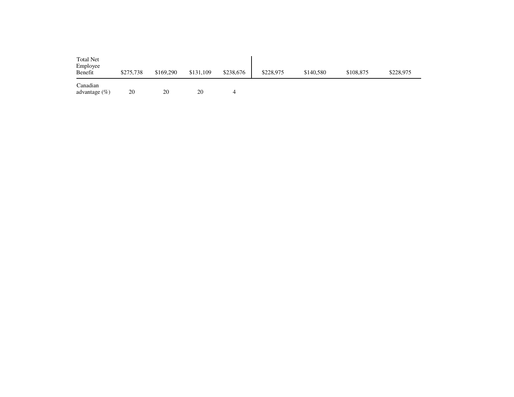| <b>Total Net</b><br>Employee<br>Benefit | \$275,738 | \$169,290 | \$131,109 | \$238,676 | \$228,975 | \$140,580 | \$108,875 | \$228,975 |
|-----------------------------------------|-----------|-----------|-----------|-----------|-----------|-----------|-----------|-----------|
| Canadian<br>advantage $(\% )$           | 20        | 20        | 20        | 4         |           |           |           |           |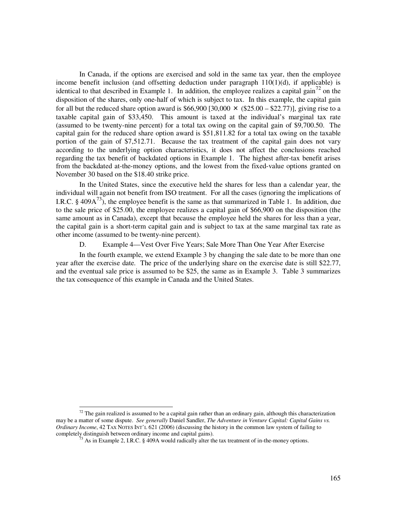In Canada, if the options are exercised and sold in the same tax year, then the employee income benefit inclusion (and offsetting deduction under paragraph 110(1)(d), if applicable) is identical to that described in Example 1. In addition, the employee realizes a capital gain<sup>[72](#page-22-0)</sup> on the disposition of the shares, only one-half of which is subject to tax. In this example, the capital gain for all but the reduced share option award is  $$66,900$  [30,000  $\times$  (\$25.00 – \$22.77)], giving rise to a taxable capital gain of \$33,450. This amount is taxed at the individual's marginal tax rate (assumed to be twenty-nine percent) for a total tax owing on the capital gain of \$9,700.50. The capital gain for the reduced share option award is \$51,811.82 for a total tax owing on the taxable portion of the gain of \$7,512.71. Because the tax treatment of the capital gain does not vary according to the underlying option characteristics, it does not affect the conclusions reached regarding the tax benefit of backdated options in Example 1. The highest after-tax benefit arises from the backdated at-the-money options, and the lowest from the fixed-value options granted on November 30 based on the \$18.40 strike price.

In the United States, since the executive held the shares for less than a calendar year, the individual will again not benefit from ISO treatment. For all the cases (ignoring the implications of I.R.C. § 409 $A^{73}$  $A^{73}$  $A^{73}$ ), the employee benefit is the same as that summarized in Table 1. In addition, due to the sale price of \$25.00, the employee realizes a capital gain of \$66,900 on the disposition (the same amount as in Canada), except that because the employee held the shares for less than a year, the capital gain is a short-term capital gain and is subject to tax at the same marginal tax rate as other income (assumed to be twenty-nine percent).

D. Example 4—Vest Over Five Years; Sale More Than One Year After Exercise

In the fourth example, we extend Example 3 by changing the sale date to be more than one year after the exercise date. The price of the underlying share on the exercise date is still \$22.77, and the eventual sale price is assumed to be \$25, the same as in Example 3. Table 3 summarizes the tax consequence of this example in Canada and the United States.

<span id="page-22-1"></span><span id="page-22-0"></span> $72$  The gain realized is assumed to be a capital gain rather than an ordinary gain, although this characterization may be a matter of some dispute. *See generally* Daniel Sandler, *The Adventure in Venture Capital: Capital Gains vs. Ordinary Income*, 42 TAX NOTES INT'L 621 (2006) (discussing the history in the common law system of failing to completely distinguish between ordinary income and capital gains).

<sup>&</sup>lt;sup>73</sup> As in Example 2, I.R.C. § 409A would radically alter the tax treatment of in-the-money options.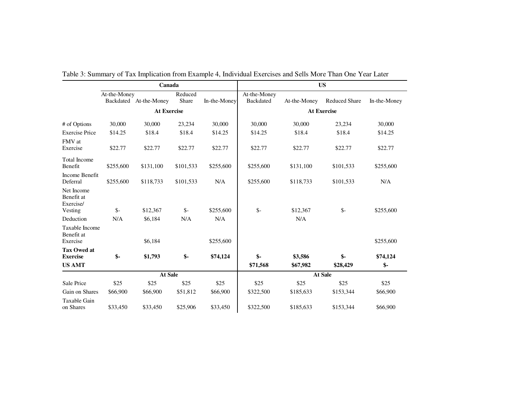|                                                  |                | Canada                 |                  |              | <b>US</b>                        |              |                      |              |  |  |
|--------------------------------------------------|----------------|------------------------|------------------|--------------|----------------------------------|--------------|----------------------|--------------|--|--|
|                                                  | At-the-Money   | Backdated At-the-Money | Reduced<br>Share | In-the-Money | At-the-Money<br><b>Backdated</b> | At-the-Money | <b>Reduced Share</b> | In-the-Money |  |  |
|                                                  |                | <b>At Exercise</b>     |                  |              | <b>At Exercise</b>               |              |                      |              |  |  |
| # of Options                                     | 30,000         | 30,000                 | 23,234           | 30,000       | 30,000                           | 30,000       | 23,234               | 30,000       |  |  |
| <b>Exercise Price</b>                            | \$14.25        | \$18.4                 | \$18.4           | \$14.25      | \$14.25                          | \$18.4       | \$18.4               | \$14.25      |  |  |
| FMV at<br>Exercise                               | \$22.77        | \$22.77                | \$22.77          | \$22.77      | \$22.77                          | \$22.77      | \$22.77              | \$22.77      |  |  |
| <b>Total Income</b><br>Benefit                   | \$255,600      | \$131,100              | \$101,533        | \$255,600    | \$255,600                        | \$131,100    | \$101,533            | \$255,600    |  |  |
| Income Benefit<br>Deferral                       | \$255,600      | \$118,733              | \$101,533        | N/A          | \$255,600                        | \$118,733    | \$101,533            | N/A          |  |  |
| Net Income<br>Benefit at<br>Exercise/<br>Vesting | $\mathsf{S}$ - | \$12,367               | $\mathsf{S}$ -   | \$255,600    | $\mathsf{S}$ -                   | \$12,367     | $\frac{1}{2}$        | \$255,600    |  |  |
| Deduction                                        | N/A            | \$6,184                | N/A              | N/A          |                                  | N/A          |                      |              |  |  |
| Taxable Income<br>Benefit at<br>Exercise         |                | \$6,184                |                  | \$255,600    |                                  |              |                      | \$255,600    |  |  |
| <b>Tax Owed at</b><br><b>Exercise</b>            | $\mathbf{\$}$  | \$1,793                | $$-$             | \$74,124     | $\mathsf{\$}$                    | \$3,586      | $\mathbf{\$}$        | \$74,124     |  |  |
| <b>US AMT</b>                                    |                |                        |                  |              | \$71,568                         | \$67,982     | \$28,429             | $$-$         |  |  |
|                                                  | <b>At Sale</b> |                        |                  |              |                                  | At Sale      |                      |              |  |  |
| Sale Price                                       | \$25           | \$25                   | \$25             | \$25         | \$25                             | \$25         | \$25                 | \$25         |  |  |
| Gain on Shares                                   | \$66,900       | \$66,900               | \$51,812         | \$66,900     | \$322,500                        | \$185,633    | \$153,344            | \$66,900     |  |  |
| Taxable Gain<br>on Shares                        | \$33,450       | \$33,450               | \$25,906         | \$33,450     | \$322,500                        | \$185,633    | \$153,344            | \$66,900     |  |  |

Table 3: Summary of Tax Implication from Example 4, Individual Exercises and Sells More Than One Year Later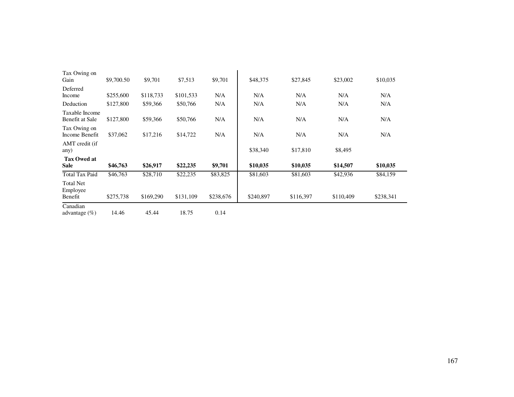| Tax Owing on<br>Gain                    | \$9,700.50 | \$9,701   | \$7,513   | \$9,701   | \$48,375  | \$27,845  | \$23,002  | \$10,035  |
|-----------------------------------------|------------|-----------|-----------|-----------|-----------|-----------|-----------|-----------|
| Deferred<br>Income                      | \$255,600  | \$118,733 | \$101,533 | N/A       | N/A       | N/A       | N/A       | N/A       |
| Deduction                               | \$127,800  | \$59,366  | \$50,766  | N/A       | N/A       | N/A       | N/A       | N/A       |
| Taxable Income<br>Benefit at Sale       | \$127,800  | \$59,366  | \$50,766  | N/A       | N/A       | N/A       | N/A       | N/A       |
| Tax Owing on<br>Income Benefit          | \$37,062   | \$17,216  | \$14,722  | N/A       | N/A       | N/A       | N/A       | N/A       |
| AMT credit (if<br>any)                  |            |           |           |           | \$38,340  | \$17,810  | \$8,495   |           |
| <b>Tax Owed at</b><br><b>Sale</b>       | \$46,763   | \$26,917  | \$22,235  | \$9,701   | \$10,035  | \$10,035  | \$14,507  | \$10,035  |
| <b>Total Tax Paid</b>                   | \$46,763   | \$28,710  | \$22,235  | \$83,825  | \$81,603  | \$81,603  | \$42,936  | \$84,159  |
| <b>Total Net</b><br>Employee<br>Benefit | \$275,738  | \$169,290 | \$131,109 | \$238,676 | \$240,897 | \$116,397 | \$110,409 | \$238,341 |
| Canadian<br>advantage $(\%)$            | 14.46      | 45.44     | 18.75     | 0.14      |           |           |           |           |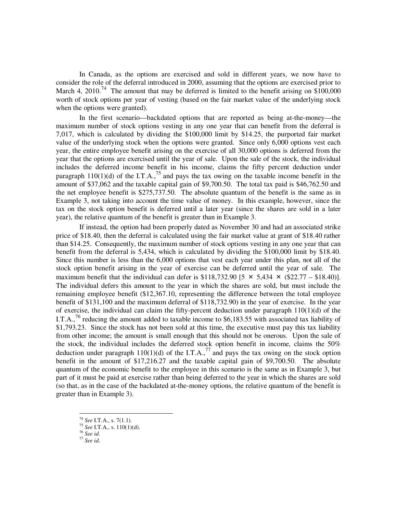In Canada, as the options are exercised and sold in different years, we now have to consider the role of the deferral introduced in 2000, assuming that the options are exercised prior to March 4, 2010.<sup>[74](#page-25-0)</sup> The amount that may be deferred is limited to the benefit arising on  $$100,000$ worth of stock options per year of vesting (based on the fair market value of the underlying stock when the options were granted).

In the first scenario—backdated options that are reported as being at-the-money—the maximum number of stock options vesting in any one year that can benefit from the deferral is 7,017, which is calculated by dividing the \$100,000 limit by \$14.25, the purported fair market value of the underlying stock when the options were granted. Since only 6,000 options vest each year, the entire employee benefit arising on the exercise of all 30,000 options is deferred from the year that the options are exercised until the year of sale. Upon the sale of the stock, the individual includes the deferred income benefit in his income, claims the fifty percent deduction under paragraph 110(1)(d) of the I.T.A.,  $^{75}$  $^{75}$  $^{75}$  and pays the tax owing on the taxable income benefit in the amount of \$37,062 and the taxable capital gain of \$9,700.50. The total tax paid is \$46,762.50 and the net employee benefit is \$275,737.50. The absolute quantum of the benefit is the same as in Example 3, not taking into account the time value of money. In this example, however, since the tax on the stock option benefit is deferred until a later year (since the shares are sold in a later year), the relative quantum of the benefit is greater than in Example 3.

If instead, the option had been properly dated as November 30 and had an associated strike price of \$18.40, then the deferral is calculated using the fair market value at grant of \$18.40 rather than \$14.25. Consequently, the maximum number of stock options vesting in any one year that can benefit from the deferral is 5,434, which is calculated by dividing the \$100,000 limit by \$18.40. Since this number is less than the 6,000 options that vest each year under this plan, not all of the stock option benefit arising in the year of exercise can be deferred until the year of sale. The maximum benefit that the individual can defer is \$118,732.90 [5  $\times$  5,434  $\times$  (\$22.77 – \$18.40)]. The individual defers this amount to the year in which the shares are sold, but must include the remaining employee benefit (\$12,367.10, representing the difference between the total employee benefit of \$131,100 and the maximum deferral of \$118,732.90) in the year of exercise. In the year of exercise, the individual can claim the fifty-percent deduction under paragraph 110(1)(d) of the I.T.A., <sup>[76](#page-25-2)</sup> reducing the amount added to taxable income to \$6,183.55 with associated tax liability of \$1,793.23. Since the stock has not been sold at this time, the executive must pay this tax liability from other income; the amount is small enough that this should not be onerous. Upon the sale of the stock, the individual includes the deferred stock option benefit in income, claims the 50% deduction under paragraph  $110(1)(d)$  of the I.T.A.,<sup>[77](#page-25-3)</sup> and pays the tax owing on the stock option benefit in the amount of \$17,216.27 and the taxable capital gain of \$9,700.50. The absolute quantum of the economic benefit to the employee in this scenario is the same as in Example 3, but part of it must be paid at exercise rather than being deferred to the year in which the shares are sold (so that, as in the case of the backdated at-the-money options, the relative quantum of the benefit is greater than in Example 3).

<sup>74</sup> *See* I.T.A., s. 7(1.1).

<span id="page-25-0"></span><sup>75</sup> *See* I.T.A., s. 110(1)(d).

<span id="page-25-2"></span><span id="page-25-1"></span><sup>76</sup> *See id*.

<span id="page-25-3"></span><sup>77</sup> *See id*.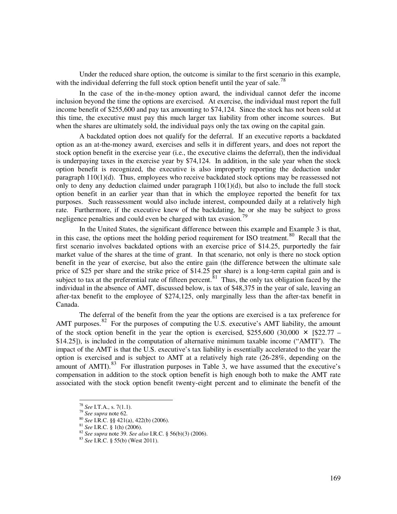Under the reduced share option, the outcome is similar to the first scenario in this example, with the individual deferring the full stock option benefit until the year of sale.<sup>[78](#page-26-0)</sup>

In the case of the in-the-money option award, the individual cannot defer the income inclusion beyond the time the options are exercised. At exercise, the individual must report the full income benefit of \$255,600 and pay tax amounting to \$74,124. Since the stock has not been sold at this time, the executive must pay this much larger tax liability from other income sources. But when the shares are ultimately sold, the individual pays only the tax owing on the capital gain.

A backdated option does not qualify for the deferral. If an executive reports a backdated option as an at-the-money award, exercises and sells it in different years, and does not report the stock option benefit in the exercise year (i.e., the executive claims the deferral), then the individual is underpaying taxes in the exercise year by \$74,124. In addition, in the sale year when the stock option benefit is recognized, the executive is also improperly reporting the deduction under paragraph 110(1)(d). Thus, employees who receive backdated stock options may be reassessed not only to deny any deduction claimed under paragraph 110(1)(d), but also to include the full stock option benefit in an earlier year than that in which the employee reported the benefit for tax purposes. Such reassessment would also include interest, compounded daily at a relatively high rate. Furthermore, if the executive knew of the backdating, he or she may be subject to gross negligence penalties and could even be charged with tax evasion.<sup>[79](#page-26-1)</sup>

In the United States, the significant difference between this example and Example 3 is that, in this case, the options meet the holding period requirement for ISO treatment.<sup>[80](#page-26-2)</sup> Recall that the first scenario involves backdated options with an exercise price of \$14.25, purportedly the fair market value of the shares at the time of grant. In that scenario, not only is there no stock option benefit in the year of exercise, but also the entire gain (the difference between the ultimate sale price of \$25 per share and the strike price of \$14.25 per share) is a long-term capital gain and is subject to tax at the preferential rate of fifteen percent.<sup>[81](#page-26-3)</sup> Thus, the only tax obligation faced by the individual in the absence of AMT, discussed below, is tax of \$48,375 in the year of sale, leaving an after-tax benefit to the employee of \$274,125, only marginally less than the after-tax benefit in Canada.

The deferral of the benefit from the year the options are exercised is a tax preference for AMT purposes.  $82$  For the purposes of computing the U.S. executive's AMT liability, the amount of the stock option benefit in the year the option is exercised, \$255,600 (30,000  $\times$  [\$22.77 – \$14.25]), is included in the computation of alternative minimum taxable income ("AMTI"). The impact of the AMT is that the U.S. executive's tax liability is essentially accelerated to the year the option is exercised and is subject to AMT at a relatively high rate (26-28%, depending on the amount of AMTI). $83$  For illustration purposes in Table 3, we have assumed that the executive's compensation in addition to the stock option benefit is high enough both to make the AMT rate associated with the stock option benefit twenty-eight percent and to eliminate the benefit of the

<span id="page-26-0"></span><sup>78</sup> *See* I.T.A., s. 7(1.1).

<span id="page-26-2"></span><span id="page-26-1"></span><sup>79</sup> *See supra* note 62.

<sup>80</sup> *See* I.R.C. §§ 421(a), 422(b) (2006).

<span id="page-26-4"></span><span id="page-26-3"></span><sup>81</sup> *See* I.R.C. § 1(h) (2006).

<sup>82</sup> *See supra* note 39. *See also* I.R.C. § 56(b)(3) (2006).

<span id="page-26-5"></span><sup>83</sup> *See* I.R.C. § 55(b) (West 2011).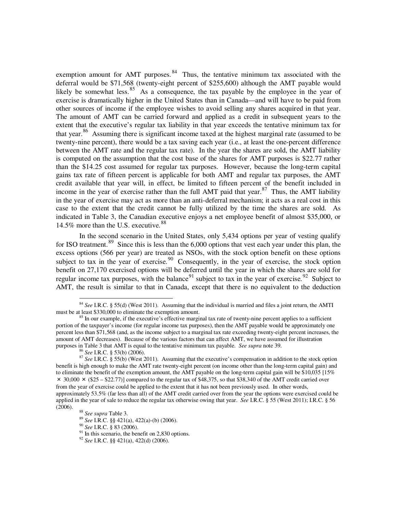exemption amount for AMT purposes. $84$  Thus, the tentative minimum tax associated with the deferral would be \$71,568 (twenty-eight percent of \$255,600) although the AMT payable would likely be somewhat less.  $85$  As a consequence, the tax payable by the employee in the year of exercise is dramatically higher in the United States than in Canada—and will have to be paid from other sources of income if the employee wishes to avoid selling any shares acquired in that year. The amount of AMT can be carried forward and applied as a credit in subsequent years to the extent that the executive's regular tax liability in that year exceeds the tentative minimum tax for that year.<sup>[86](#page-27-2)</sup> Assuming there is significant income taxed at the highest marginal rate (assumed to be twenty-nine percent), there would be a tax saving each year (i.e., at least the one-percent difference between the AMT rate and the regular tax rate). In the year the shares are sold, the AMT liability is computed on the assumption that the cost base of the shares for AMT purposes is \$22.77 rather than the \$14.25 cost assumed for regular tax purposes. However, because the long-term capital gains tax rate of fifteen percent is applicable for both AMT and regular tax purposes, the AMT credit available that year will, in effect, be limited to fifteen percent of the benefit included in income in the year of exercise rather than the full AMT paid that year. $87$  Thus, the AMT liability in the year of exercise may act as more than an anti-deferral mechanism; it acts as a real cost in this case to the extent that the credit cannot be fully utilized by the time the shares are sold. As indicated in Table 3, the Canadian executive enjoys a net employee benefit of almost \$35,000, or 14.5% more than the U.S. executive.<sup>[88](#page-27-4)</sup>

In the second scenario in the United States, only 5,434 options per year of vesting qualify for ISO treatment.<sup>[89](#page-27-5)</sup> Since this is less than the  $6,000$  options that vest each year under this plan, the excess options (566 per year) are treated as NSOs, with the stock option benefit on these options subject to tax in the year of exercise.<sup>[90](#page-27-6)</sup> Consequently, in the year of exercise, the stock option benefit on 27,170 exercised options will be deferred until the year in which the shares are sold for regular income tax purposes, with the balance<sup>[91](#page-27-7)</sup> subject to tax in the year of exercise.<sup>[92](#page-27-8)</sup> Subject to AMT, the result is similar to that in Canada, except that there is no equivalent to the deduction

 $\overline{a}$ 

<sup>90</sup> *See* I.R.C. § 83 (2006).

<span id="page-27-7"></span> $91$  In this scenario, the benefit on 2,830 options.

<span id="page-27-0"></span><sup>&</sup>lt;sup>84</sup> *See* I.R.C. § 55(d) (West 2011). Assuming that the individual is married and files a joint return, the AMTI must be at least \$330,000 to eliminate the exemption amount.

<span id="page-27-1"></span> $85$  In our example, if the executive's effective marginal tax rate of twenty-nine percent applies to a sufficient portion of the taxpayer's income (for regular income tax purposes), then the AMT payable would be approximately one percent less than \$71,568 (and, as the income subject to a marginal tax rate exceeding twenty-eight percent increases, the amount of AMT decreases). Because of the various factors that can affect AMT, we have assumed for illustration purposes in Table 3 that AMT is equal to the tentative minimum tax payable. *See supra* note 39.

<sup>86</sup> *See* I.R.C. § 53(b) (2006).

<span id="page-27-3"></span><span id="page-27-2"></span><sup>&</sup>lt;sup>87</sup> See I.R.C. § 55(b) (West 2011). Assuming that the executive's compensation in addition to the stock option benefit is high enough to make the AMT rate twenty-eight percent (on income other than the long-term capital gain) and to eliminate the benefit of the exemption amount, the AMT payable on the long-term capital gain will be \$10,035 [15%  $\times$  30,000  $\times$  (\$25 – \$22.77)] compared to the regular tax of \$48,375, so that \$38,340 of the AMT credit carried over from the year of exercise could be applied to the extent that it has not been previously used. In other words, approximately 53.5% (far less than all) of the AMT credit carried over from the year the options were exercised could be applied in the year of sale to reduce the regular tax otherwise owing that year. *See* I.R.C. § 55 (West 2011); I.R.C. § 56  $(2006).$ 

<span id="page-27-5"></span><span id="page-27-4"></span><sup>88</sup> *See supra* Table 3.

<span id="page-27-6"></span><sup>89</sup> *See* I.R.C. §§ 421(a), 422(a)-(b) (2006).

<span id="page-27-8"></span><sup>92</sup> *See* I.R.C. §§ 421(a), 422(d) (2006).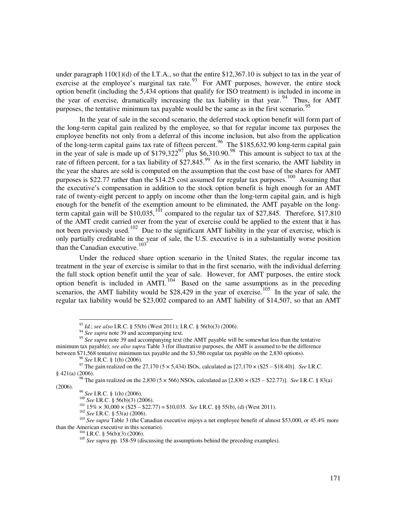under paragraph  $110(1)(d)$  of the I.T.A., so that the entire \$12,367.10 is subject to tax in the year of exercise at the employee's marginal tax rate.  $93$  For AMT purposes, however, the entire stock option benefit (including the 5,434 options that qualify for ISO treatment) is included in income in the year of exercise, dramatically increasing the tax liability in that year.<sup>[94](#page-28-1)</sup> Thus, for AMT purposes, the tentative minimum tax payable would be the same as in the first scenario. $\dot{\tilde{}}$ 

In the year of sale in the second scenario, the deferred stock option benefit will form part of the long-term capital gain realized by the employee, so that for regular income tax purposes the employee benefits not only from a deferral of this income inclusion, but also from the application of the long-term capital gains tax rate of fifteen percent.<sup>[96](#page-28-3)</sup> The \$185,632.90 long-term capital gain in the year of sale is made up of  $$179,322^{97}$  $$179,322^{97}$  $$179,322^{97}$  plus \$6,310.90.<sup>[98](#page-28-5)</sup> This amount is subject to tax at the rate of fifteen percent, for a tax liability of  $$27,845.<sup>99</sup>$  $$27,845.<sup>99</sup>$  $$27,845.<sup>99</sup>$  As in the first scenario, the AMT liability in the year the shares are sold is computed on the assumption that the cost base of the shares for AMT purposes is \$22.77 rather than the \$14.25 cost assumed for regular tax purposes.<sup>[100](#page-28-7)</sup> Assuming that the executive's compensation in addition to the stock option benefit is high enough for an AMT rate of twenty-eight percent to apply on income other than the long-term capital gain, and is high enough for the benefit of the exemption amount to be eliminated, the AMT payable on the long-term capital gain will be \$10,035,<sup>[101](#page-28-8)</sup> compared to the regular tax of \$27,845. Therefore, \$17,810 of the AMT credit carried over from the year of exercise could be applied to the extent that it has not been previously used.<sup>[102](#page-28-9)</sup> Due to the significant AMT liability in the year of exercise, which is only partially creditable in the year of sale, the U.S. executive is in a substantially worse position than the Canadian executive. $103$ <sup>103</sup>

Under the reduced share option scenario in the United States, the regular income tax treatment in the year of exercise is similar to that in the first scenario, with the individual deferring the full stock option benefit until the year of sale. However, for AMT purposes, the entire stock option benefit is included in  $AMTI$ .<sup>[104](#page-28-11)</sup> Based on the same assumptions as in the preceding scenarios, the AMT liability would be \$28,429 in the year of exercise. <sup>[105](#page-28-12)</sup> In the year of sale, the regular tax liability would be \$23,002 compared to an AMT liability of \$14,507, so that an AMT

<sup>96</sup> *See* I.R.C. § 1(h) (2006).

 $\overline{a}$ 

101 15%  $\times$  30,000  $\times$  (\$25 – \$22.77) = \$10,035. *See* I.R.C. §§ 55(b), (d) (West 2011).

<sup>93</sup> *Id.*; *see also* I.R.C. § 55(b) (West 2011); I.R.C. § 56(b)(3) (2006).

<sup>&</sup>lt;sup>94</sup> See supra note 39 and accompanying text.

<span id="page-28-2"></span><span id="page-28-1"></span><span id="page-28-0"></span><sup>&</sup>lt;sup>95</sup> See supra note 39 and accompanying text (the AMT payable will be somewhat less than the tentative minimum tax payable); *see also supra* Table 3 (for illustrative purposes, the AMT is assumed to be the difference between \$71,568 tentative minimum tax payable and the \$3,586 regular tax payable on the 2,830 options).

<span id="page-28-4"></span><span id="page-28-3"></span><sup>97</sup> The gain realized on the 27,170 (5 × 5,434) ISOs, calculated as [27,170 × (\$25 – \$18.40)]. *See* I.R.C. § 421(a) (2006).

<span id="page-28-7"></span><span id="page-28-6"></span><span id="page-28-5"></span><sup>98</sup> The gain realized on the 2,830 (5 × 566) NSOs, calculated as [2,830 × (\$25 – \$22.77)]. *See* I.R.C. § 83(a) (2006).

<sup>99</sup> *See* I.R.C. § 1(h) (2006).

<sup>100</sup> *See* I.R.C. § 56(b)(3) (2006).

<sup>102</sup> *See* I.R.C. § 53(a) (2006).

<span id="page-28-12"></span><span id="page-28-11"></span><span id="page-28-10"></span><span id="page-28-9"></span><span id="page-28-8"></span><sup>&</sup>lt;sup>103</sup> *See supra* Table 3 (the Canadian executive enjoys a net employee benefit of almost \$53,000, or 45.4% more than the American executive in this scenario).

 $104$  I.R.C. § 56(b)(3) (2006).

<sup>&</sup>lt;sup>105</sup> See supra pp. 158-59 (discussing the assumptions behind the preceding examples).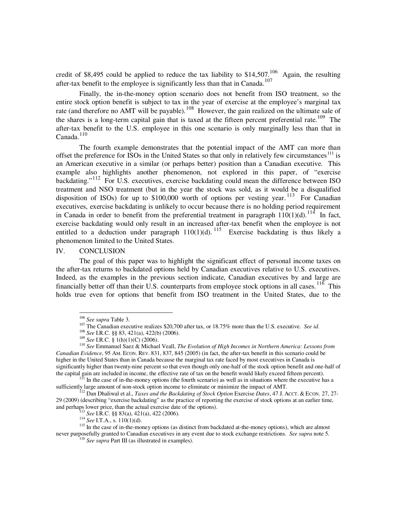credit of \$8,495 could be applied to reduce the tax liability to \$14,507.<sup>[106](#page-29-0)</sup> Again, the resulting after-tax benefit to the employee is significantly less than that in Canada.[107](#page-29-1)

Finally, the in-the-money option scenario does not benefit from ISO treatment, so the entire stock option benefit is subject to tax in the year of exercise at the employee's marginal tax rate (and therefore no AMT will be payable).<sup>[108](#page-29-2)</sup> However, the gain realized on the ultimate sale of the shares is a long-term capital gain that is taxed at the fifteen percent preferential rate.<sup>[109](#page-29-3)</sup> The after-tax benefit to the U.S. employee in this one scenario is only marginally less than that in  $C$ anada.<sup>[110](#page-29-4)</sup>

The fourth example demonstrates that the potential impact of the AMT can more than offset the preference for ISOs in the United States so that only in relatively few circumstances<sup>[111](#page-29-5)</sup> is an American executive in a similar (or perhaps better) position than a Canadian executive. This example also highlights another phenomenon, not explored in this paper, of "exercise backdating."<sup>[112](#page-29-6)</sup> For U.S. executives, exercise backdating could mean the difference between ISO treatment and NSO treatment (but in the year the stock was sold, as it would be a disqualified disposition of ISOs) for up to  $$100,000$  worth of options per vesting year.<sup>[113](#page-29-7)</sup> For Canadian executives, exercise backdating is unlikely to occur because there is no holding period requirement in Canada in order to benefit from the preferential treatment in paragraph  $110(1)(d)$ .<sup>[114](#page-29-8)</sup> In fact, exercise backdating would only result in an increased after-tax benefit when the employee is not entitled to a deduction under paragraph  $110(1)(d)$ . <sup>[115](#page-29-9)</sup> Exercise backdating is thus likely a phenomenon limited to the United States.

IV. CONCLUSION

 $\overline{a}$ 

The goal of this paper was to highlight the significant effect of personal income taxes on the after-tax returns to backdated options held by Canadian executives relative to U.S. executives. Indeed, as the examples in the previous section indicate, Canadian executives by and large are financially better off than their U.S. counterparts from employee stock options in all cases.  $116$  This holds true even for options that benefit from ISO treatment in the United States, due to the

<sup>113</sup> *See* I.R.C. §§ 83(a), 421(a), 422 (2006).

<sup>106</sup> *See supra* Table 3.

<sup>107</sup> The Canadian executive realizes \$20,700 after tax, or 18.75% more than the U.S. executive. *See id*.

<sup>108</sup> *See* I.R.C. §§ 83, 421(a), 422(b) (2006).

<sup>109</sup> *See* I.R.C. § 1(h)(1)(C) (2006).

<span id="page-29-4"></span><span id="page-29-3"></span><span id="page-29-2"></span><span id="page-29-1"></span><span id="page-29-0"></span><sup>110</sup> *See* Emmanuel Saez & Michael Veall, *The Evolution of High Incomes in Northern America: Lessons from Canadian Evidence*, 95 AM. ECON. REV. 831, 837, 845 (2005) (in fact, the after-tax benefit in this scenario could be higher in the United States than in Canada because the marginal tax rate faced by most executives in Canada is significantly higher than twenty-nine percent so that even though only one-half of the stock option benefit and one-half of the capital gain are included in income, the effective rate of tax on the benefit would likely exceed fifteen percent).

<span id="page-29-5"></span> $111$  In the case of in-the-money options (the fourth scenario) as well as in situations where the executive has a sufficiently large amount of non-stock option income to eliminate or minimize the impact of AMT.

<span id="page-29-6"></span><sup>&</sup>lt;sup>112</sup> Dan Dhaliwal et al., *Taxes and the Backdating of Stock Option Exercise Dates*, 47 J. AccT. & ECON. 27, 27-29 (2009) (describing "exercise backdating" as the practice of reporting the exercise of stock options at an earlier time, and perhaps lower price, than the actual exercise date of the options).

<sup>&</sup>lt;sup>114</sup> *See* I.T.A., s. 110(1)(d).

<span id="page-29-10"></span><span id="page-29-9"></span><span id="page-29-8"></span><span id="page-29-7"></span><sup>&</sup>lt;sup>115</sup> In the case of in-the-money options (as distinct from backdated at-the-money options), which are almost never purposefully granted to Canadian executives in any event due to stock exchange restrictions. *See supra* note 5.

<sup>116</sup> *See supra* Part III (as illustrated in examples).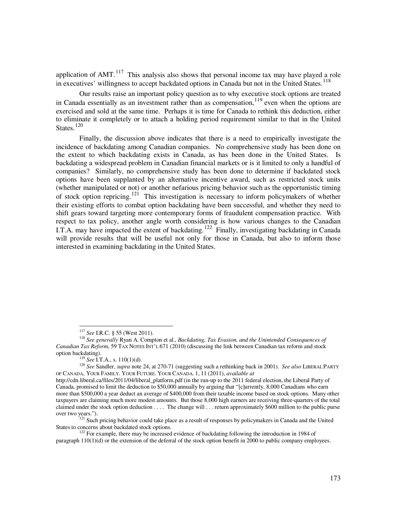application of  $AMT$ .<sup>[117](#page-30-0)</sup> This analysis also shows that personal income tax may have played a role in executives' willingness to accept backdated options in Canada but not in the United States.<sup>[118](#page-30-1)</sup>

Our results raise an important policy question as to why executive stock options are treated in Canada essentially as an investment rather than as compensation, <sup>[119](#page-30-2)</sup> even when the options are exercised and sold at the same time. Perhaps it is time for Canada to rethink this deduction, either to eliminate it completely or to attach a holding period requirement similar to that in the United States. $120$ 

Finally, the discussion above indicates that there is a need to empirically investigate the incidence of backdating among Canadian companies. No comprehensive study has been done on the extent to which backdating exists in Canada, as has been done in the United States. Is backdating a widespread problem in Canadian financial markets or is it limited to only a handful of companies? Similarly, no comprehensive study has been done to determine if backdated stock options have been supplanted by an alternative incentive award, such as restricted stock units (whether manipulated or not) or another nefarious pricing behavior such as the opportunistic timing of stock option repricing.<sup>[121](#page-30-4)</sup> This investigation is necessary to inform policymakers of whether their existing efforts to combat option backdating have been successful, and whether they need to shift gears toward targeting more contemporary forms of fraudulent compensation practice. With respect to tax policy, another angle worth considering is how various changes to the Canadian I.T.A. may have impacted the extent of backdating.<sup>[122](#page-30-5)</sup> Finally, investigating backdating in Canada will provide results that will be useful not only for those in Canada, but also to inform those interested in examining backdating in the United States.

<sup>117</sup> *See* I.R.C. § 55 (West 2011).

<span id="page-30-1"></span><span id="page-30-0"></span><sup>118</sup> *See generally* Ryan A. Compton et al., *Backdating, Tax Evasion, and the Unintended Consequences of Canadian Tax Reform*, 59 TAX NOTES INT'L 671 (2010) (discussing the link between Canadian tax reform and stock option backdating).

<sup>119</sup> *See* I.T.A., s. 110(1)(d).

<span id="page-30-3"></span><span id="page-30-2"></span><sup>&</sup>lt;sup>120</sup> See Sandler, *supra* note 24, at 270-71 (suggesting such a rethinking back in 2001). *See also* LIBERAL PARTY OF CANADA, YOUR FAMILY. YOUR FUTURE. YOUR CANADA. 1, 11 (2011), *available at*

http://cdn.liberal.ca/files/2011/04/liberal\_platform.pdf (in the run-up to the 2011 federal election, the Liberal Party of Canada, promised to limit the deduction to \$50,000 annually by arguing that "[c]urrently, 8,000 Canadians who earn more than \$500,000 a year deduct an average of \$400,000 from their taxable income based on stock options. Many other taxpayers are claiming much more modest amounts. But those 8,000 high earners are receiving three-quarters of the total claimed under the stock option deduction . . . . The change will . . . return approximately \$600 million to the public purse over two years.").

<span id="page-30-4"></span><sup>&</sup>lt;sup>121</sup> Such pricing behavior could take place as a result of responses by policymakers in Canada and the United States to concerns about backdated stock options. States to concerns about backdated stock options.<br><sup>122</sup> For example, there may be increased evidence of backdating following the introduction in 1984 of

<span id="page-30-5"></span>paragraph 110(1)(d) or the extension of the deferral of the stock option benefit in 2000 to public company employees.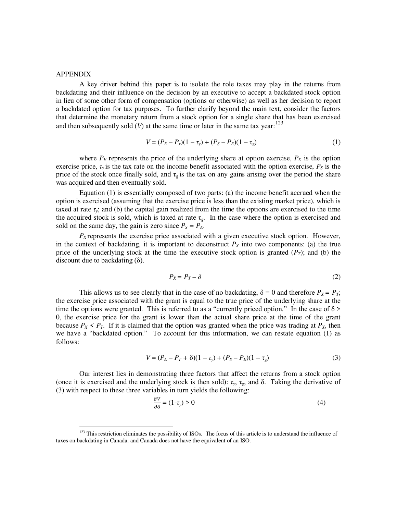#### APPENDIX

 $\overline{a}$ 

A key driver behind this paper is to isolate the role taxes may play in the returns from backdating and their influence on the decision by an executive to accept a backdated stock option in lieu of some other form of compensation (options or otherwise) as well as her decision to report a backdated option for tax purposes. To further clarify beyond the main text, consider the factors that determine the monetary return from a stock option for a single share that has been exercised and then subsequently sold  $(V)$  at the same time or later in the same tax year:<sup>[123](#page-31-0)</sup>

$$
V = (P_E - P_x)(1 - \tau_y) + (P_S - P_E)(1 - \tau_g)
$$
\n(1)

where  $P_E$  represents the price of the underlying share at option exercise,  $P_X$  is the option exercise price,  $\tau_y$  is the tax rate on the income benefit associated with the option exercise,  $P_s$  is the price of the stock once finally sold, and  $\tau_{g}$  is the tax on any gains arising over the period the share was acquired and then eventually sold.

Equation (1) is essentially composed of two parts: (a) the income benefit accrued when the option is exercised (assuming that the exercise price is less than the existing market price), which is taxed at rate  $\tau$ <sup>*y*</sup>; and (b) the capital gain realized from the time the options are exercised to the time the acquired stock is sold, which is taxed at rate  $\tau_{g}$ . In the case where the option is exercised and sold on the same day, the gain is zero since  $P_s = P_E$ .

 $P_X$  represents the exercise price associated with a given executive stock option. However, in the context of backdating, it is important to deconstruct  $P<sub>X</sub>$  into two components: (a) the true price of the underlying stock at the time the executive stock option is granted  $(P_T)$ ; and (b) the discount due to backdating  $(\delta)$ .

$$
P_X = P_T - \delta \tag{2}
$$

This allows us to see clearly that in the case of no backdating,  $\delta = 0$  and therefore  $P_X = P_T$ ; the exercise price associated with the grant is equal to the true price of the underlying share at the time the options were granted. This is referred to as a "currently priced option." In the case of  $\delta$  > 0, the exercise price for the grant is lower than the actual share price at the time of the grant because  $P_X \leq P_T$ . If it is claimed that the option was granted when the price was trading at  $P_X$ , then we have a "backdated option." To account for this information, we can restate equation (1) as follows:

$$
V = (P_E - P_T + \delta)(1 - \tau_y) + (P_S - P_E)(1 - \tau_g)
$$
\n(3)

Our interest lies in demonstrating three factors that affect the returns from a stock option (once it is exercised and the underlying stock is then sold):  $\tau_v$ ,  $\tau_g$ , and  $\delta$ . Taking the derivative of (3) with respect to these three variables in turn yields the following:

$$
\frac{\partial V}{\partial \delta} = (1 - \tau_y) > 0 \tag{4}
$$

<span id="page-31-0"></span> $123$  This restriction eliminates the possibility of ISOs. The focus of this article is to understand the influence of taxes on backdating in Canada, and Canada does not have the equivalent of an ISO.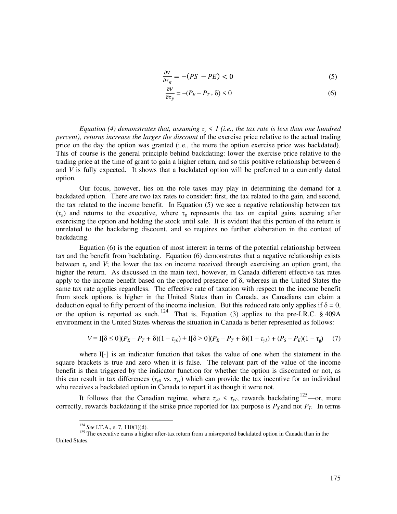$$
\frac{\partial V}{\partial \tau_g} = -(PS - PE) < 0 \tag{5}
$$

$$
\frac{\partial V}{\partial \tau_y} = -(P_E - P_{T+} \delta) < 0 \tag{6}
$$

*Equation (4) demonstrates that, assuming*  $\tau$ <sup>*y*</sup>  $\leq$  *l* (*i.e., the tax rate is less than one hundred percent), returns increase the larger the discount* of the exercise price relative to the actual trading price on the day the option was granted (i.e., the more the option exercise price was backdated). This of course is the general principle behind backdating: lower the exercise price relative to the trading price at the time of grant to gain a higher return, and so this positive relationship between  $\delta$ and *V* is fully expected. It shows that a backdated option will be preferred to a currently dated option.

Our focus, however, lies on the role taxes may play in determining the demand for a backdated option. There are two tax rates to consider: first, the tax related to the gain, and second, the tax related to the income benefit. In Equation (5) we see a negative relationship between tax  $(\tau_g)$  and returns to the executive, where  $\tau_g$  represents the tax on capital gains accruing after exercising the option and holding the stock until sale. It is evident that this portion of the return is unrelated to the backdating discount, and so requires no further elaboration in the context of backdating.

Equation (6) is the equation of most interest in terms of the potential relationship between tax and the benefit from backdating. Equation (6) demonstrates that a negative relationship exists between  $\tau$ <sup>*y*</sup> and *V*; the lower the tax on income received through exercising an option grant, the higher the return. As discussed in the main text, however, in Canada different effective tax rates apply to the income benefit based on the reported presence of  $\delta$ , whereas in the United States the same tax rate applies regardless. The effective rate of taxation with respect to the income benefit from stock options is higher in the United States than in Canada, as Canadians can claim a deduction equal to fifty percent of the income inclusion. But this reduced rate only applies if  $\delta = 0$ , or the option is reported as such.  $124$  That is, Equation (3) applies to the pre-I.R.C. § 409A environment in the United States whereas the situation in Canada is better represented as follows:

$$
V = I[\delta \le 0](P_E - P_T + \delta)(1 - \tau_{y0}) + I[\delta > 0](P_E - P_T + \delta)(1 - \tau_{y1}) + (P_S - P_E)(1 - \tau_g)
$$
 (7)

where  $\mathbf{I}[\cdot]$  is an indicator function that takes the value of one when the statement in the square brackets is true and zero when it is false. The relevant part of the value of the income benefit is then triggered by the indicator function for whether the option is discounted or not, as this can result in tax differences  $(\tau_{y0}$  vs.  $\tau_{y1})$  which can provide the tax incentive for an individual who receives a backdated option in Canada to report it as though it were not.

It follows that the Canadian regime, where  $\tau_{y0} \leq \tau_{y1}$ , rewards backdating <sup>[125](#page-32-1)</sup>—or, more correctly, rewards backdating if the strike price reported for tax purpose is  $P_X$  and not  $P_T$ . In terms

<sup>124</sup> *See* I.T.A., s. 7, 110(1)(d).

<span id="page-32-1"></span><span id="page-32-0"></span><sup>&</sup>lt;sup>125</sup> The executive earns a higher after-tax return from a misreported backdated option in Canada than in the United States.